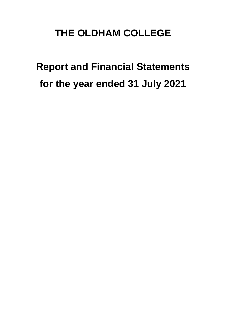# **THE OLDHAM COLLEGE**

**Report and Financial Statements for the year ended 31 July 2021**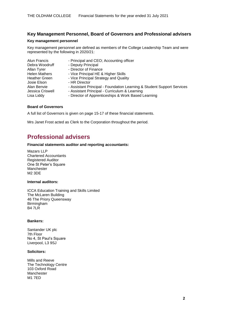### **Key Management Personnel, Board of Governors and Professional advisers**

#### **Key management personnel**

Key management personnel are defined as members of the College Leadership Team and were represented by the following in 2020/21:

| Alun Francis         | - Principal and CEO; Accounting officer                                |
|----------------------|------------------------------------------------------------------------|
| Debra Woodruff       | - Deputy Principal                                                     |
| Allan Tyrer          | - Director of Finance                                                  |
| <b>Helen Mathers</b> | - Vice Principal HE & Higher Skills                                    |
| <b>Heather Green</b> | - Vice Principal Strategy and Quality                                  |
| Josie Elson          | - HR Director                                                          |
| Alan Benvie          | - Assistant Principal - Foundation Learning & Student Support Services |
| Jessica Criswell     | - Assistant Principal - Curriculum & Learning                          |
| Lisa Liddy           | - Director of Apprenticeships & Work Based Learning                    |

#### **Board of Governors**

A full list of Governors is given on page 15-17 of these financial statements.

Mrs Janet Frost acted as Clerk to the Corporation throughout the period.

# **Professional advisers**

#### **Financial statements auditor and reporting accountants:**

Mazars LLP Chartered Accountants Registered Auditor One St Peter's Square Manchester M2 3DE

#### **Internal auditors:**

ICCA Education Training and Skills Limited The McLaren Building 46 The Priory Queensway Birmingham B4 7LR

#### **Bankers:**

Santander UK plc 7th Floor No 4, St Paul's Square Liverpool, L3 9SJ

#### **Solicitors:**

Mills and Reeve The Technology Centre 103 Oxford Road Manchester M1 7ED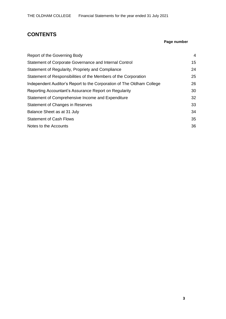# **CONTENTS**

### **Page number**

| 4  |
|----|
| 15 |
| 24 |
| 25 |
| 26 |
| 30 |
| 32 |
| 33 |
| 34 |
| 35 |
| 36 |
|    |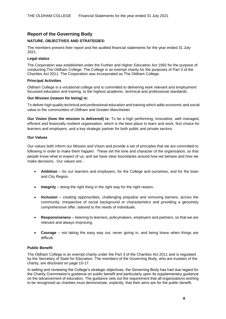### **Report of the Governing Body**

#### **NATURE, OBJECTIVES AND STRATEGIES:**

The members present their report and the audited financial statements for the year ended 31 July 2021.

#### **Legal status**

The Corporation was established under the Further and Higher Education Act 1992 for the purpose of conducting The Oldham College. The College is an exempt charity for the purposes of Part 3 of the Charities Act 2011. The Corporation was incorporated as The Oldham College.

#### **Principal Activities**

Oldham College is a vocational college and is committed to delivering work relevant and employment focussed education and training, to the highest academic, technical and professional standards.

#### **Our Mission (reason for being) is:**

To deliver high quality technical and professional education and training which adds economic and social value to the communities of Oldham and Greater Manchester.

**Our Vision (how the mission is delivered) is:** To be a high performing, innovative, well managed, efficient and financially resilient organisation, which is the best place to learn and work, first choice for learners and employers, and a key strategic partner for both public and private sectors.

#### **Our Values**

Our values both inform our Mission and Vision and provide a set of principles that we are committed to following in order to make them happen. These set the tone and character of the organisation, so that people know what to expect of us, and we have clear boundaries around how we behave and how we make decisions. Our values are:-

- **Ambition** for our learners and employers, for the College and ourselves, and for the town and City Region.
- **Integrity** doing the right thing in the right way for the right reason.
- **Inclusion**  creating opportunities, challenging prejudice and removing barriers, across the community, irrespective of social background or characteristics and providing a genuinely comprehensive offer, tailored to the needs of individuals.
- **Responsiveness** listening to learners, policymakers, employers and partners, so that we are relevant and always improving.
- **Courage**  not taking the easy way out, never giving in, and being brave when things are difficult.

#### **Public Benefit**

The Oldham College is an exempt charity under the Part 3 of the Charities Act 2011 and is regulated by the Secretary of State for Education. The members of the Governing Body, who are trustees of the charity, are disclosed on page 15-17.

In setting and reviewing the College's strategic objectives, the Governing Body has had due regard for the Charity Commission's guidance on public benefit and particularly upon its supplementary guidance on the advancement of education. The guidance sets out the requirement that all organisations wishing to be recognised as charities must demonstrate, explicitly, that their aims are for the public benefit.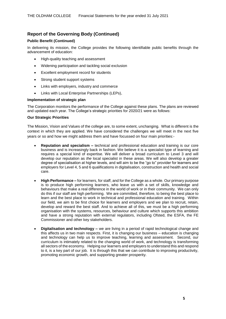#### **Public Benefit (Continued)**

In delivering its mission, the College provides the following identifiable public benefits through the advancement of education:

- High-quality teaching and assessment
- Widening participation and tackling social exclusion
- Excellent employment record for students
- Strong student support systems
- Links with employers, industry and commerce
- Links with Local Enterprise Partnerships (LEPs),

#### **Implementation of strategic plan**

The Corporation monitors the performance of the College against these plans. The plans are reviewed and updated each year. The College's strategic priorities for 2020/21 were as follows:

#### **Our Strategic Priorities**

The Mission, Vision and Values of the college are, to some extent, unchanging. What is different is the context in which they are applied. We have considered the challenges we will meet in the next five years or so and how we might address them and have focussed on four main priorities:-

- **Reputation and specialism –** technical and professional education and training is our core business and is increasingly back in fashion. We believe it is a specialist type of learning and requires a special kind of expertise. We will deliver a broad curriculum to Level 3 and will develop our reputation as *the* local specialist in these areas. We will also develop a greater degree of specialisation at higher levels, and will aim to be the "go to" provider for learners and employers for Level 4, 5 and 6 qualifications in digitalisation, construction and health and social care.
- **High Performance –** for learners, for staff, and for the College as a whole. Our primary purpose is to produce high performing learners, who leave us with a set of skills, knowledge and behaviours that make a real difference in the world of work or in their community. We can only do this if our staff are high performing. We are committed, therefore, to being the best place to learn and the best place to work in technical and professional education and training. Within our field, we aim to be first choice for learners and employers and we plan to recruit, retain, develop and reward the best staff. And to achieve all of this, we must be a high performing organisation with the systems, resources, behaviour and culture which supports this ambition and have a strong reputation with external regulators, including Ofsted, the ESFA, the FE Commissioner and other key stakeholders.
- **Digitalisation and technology –** we are living in a period of rapid technological change and this affects us in two main respects. First, it is changing our business – education is changing and technology can help us to improve teaching, learning and assessment. Second, our curriculum is intimately related to the changing world of work, and technology is transforming all sectors of the economy. Helping our learners and employers to understand this and respond to it, is a key part of our job. It is through this that we can contribute to improving productivity, promoting economic growth, and supporting greater prosperity.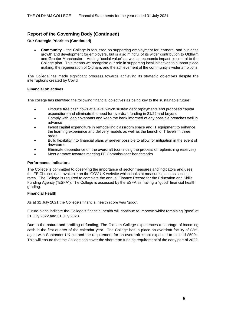#### **Our Strategic Priorities (Continued)**

• **Community** – the College is focussed on supporting employment for learners, and business growth and development for employers, but is also mindful of its wider contribution to Oldham and Greater Manchester. Adding "social value" as well as economic impact, is central to the College plan. This means we recognise our role in supporting local initiatives to support place making, the regeneration of Oldham, and the achievement of the community's wider ambitions.

The College has made significant progress towards achieving its strategic objectives despite the interruptions created by Covid.

#### **Financial objectives**

The college has identified the following financial objectives as being key to the sustainable future:

- Produce free cash flows at a level which sustain debt repayments and proposed capital expenditure and eliminate the need for overdraft funding in 21/22 and beyond
- Comply with loan covenants and keep the bank informed of any possible breaches well in advance
- Invest capital expenditure in remodelling classroom space and IT equipment to enhance the learning experience and delivery models as well as the launch of T levels in three areas.
- Build flexibility into financial plans wherever possible to allow for mitigation in the event of downturns
- Eliminate dependence on the overdraft (continuing the process of replenishing reserves)
- Meet or move towards meeting FE Commissioner benchmarks

#### **Performance indicators**

The College is committed to observing the importance of sector measures and indicators and uses the FE Choices data available on the GOV.UK website which looks at measures such as success rates. The College is required to complete the annual Finance Record for the Education and Skills Funding Agency ("ESFA"). The College is assessed by the ESFA as having a "good" financial health grading.

#### **Financial Health**

As at 31 July 2021 the College's financial health score was 'good'.

Future plans indicate the College's financial health will continue to improve whilst remaining 'good' at 31 July 2022 and 31 July 2023.

Due to the nature and profiling of funding, The Oldham College experiences a shortage of incoming cash in the first quarter of the calendar year. The College has in place an overdraft facility of £3m, again with Santander UK plc and the requirement for an overdraft is not expected to exceed £500k. This will ensure that the College can cover the short term funding requirement of the early part of 2022.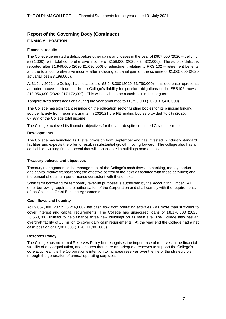### **Report of the Governing Body (Continued) FINANCIAL POSITION**

#### **Financial results**

The College generated a deficit before other gains and losses in the year of £907,000 (2020 – deficit of £971,000), with total comprehensive income of £158,000 (2020 - £4,322,000). The surplus/deficit is reported after £1,949,000 (2020 £1,690,000) of adjustment relating to FRS 102 – retirement benefits and the total comprehensive income after including actuarial gain on the scheme of £1,065,000 (2020 actuarial loss £3,199,000).

At 31 July 2021 the College had net assets of £3,948,000 (2020: £3,790,000) – this decrease represents as noted above the increase in the College's liability for pension obligations under FRS102, now at £18,056,000 (2020: £17,172,000). This will only become a cash-risk in the long term.

Tangible fixed asset additions during the year amounted to £6,798,000 (2020: £3,410,000).

The College has significant reliance on the education sector funding bodies for its principal funding source, largely from recurrent grants. In 2020/21 the FE funding bodies provided 70.5% (2020: 67.9%) of the College total income.

The College achieved its financial objectives for the year despite continued Covid interruptions.

#### **Developments**

The College has launched its T level provision from September and has invested in industry standard facilities and expects the offer to result in substantial growth moving forward. The college also has a capital bid awaiting final approval that will consolidate its buildings onto one site.

#### **Treasury policies and objectives**

Treasury management is the management of the College's cash flows, its banking, money market and capital market transactions; the effective control of the risks associated with those activities; and the pursuit of optimum performance consistent with those risks.

Short term borrowing for temporary revenue purposes is authorised by the Accounting Officer. All other borrowing requires the authorisation of the Corporation and shall comply with the requirements of the College's Grant Funding Agreements

#### **Cash flows and liquidity**

At £9,057,000 (2020: £5,246,000), net cash flow from operating activities was more than sufficient to cover interest and capital requirements. The College has unsecured loans of £8,170,000 (2020: £8,650,000) utilised to help finance three new buildings on its main site. The College also has an overdraft facility of £3 million to cover daily cash requirements. At the year end the College had a net cash position of £2,801,000 (2020: £1,492,000).

#### **Reserves Policy**

The College has no formal Reserves Policy but recognises the importance of reserves in the financial stability of any organisation, and ensures that there are adequate reserves to support the College's core activities. It is the Corporation's intention to increase reserves over the life of the strategic plan through the generation of annual operating surpluses.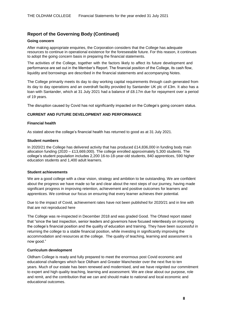#### **Going concern**

After making appropriate enquiries, the Corporation considers that the College has adequate resources to continue in operational existence for the foreseeable future. For this reason, it continues to adopt the going concern basis in preparing the financial statements.

The activities of the College, together with the factors likely to affect its future development and performance are set out in the Member's Report. The financial position of the College, its cash flow, liquidity and borrowings are described in the financial statements and accompanying Notes.

The College primarily meets its day to day working capital requirements through cash generated from its day to day operations and an overdraft facility provided by Santander UK plc of £3m. It also has a loan with Santander, which at 31 July 2021 had a balance of £8.17m due for repayment over a period of 19 years.

The disruption caused by Covid has not significantly impacted on the College's going concern status.

#### **CURRENT AND FUTURE DEVELOPMENT AND PERFORMANCE**

#### **Financial health**

As stated above the college's financial health has returned to good as at 31 July 2021.

#### **Student numbers**

In 2020/21 the College has delivered activity that has produced £14,836,000 in funding body main allocation funding  $(2020 - \text{\textsterling}13,669,000)$ . The college enrolled approximately 5,300 students. The college's student population includes 2,200 16-to-18-year-old students, 840 apprentices, 590 higher education students and 1,400 adult learners.

#### **Student achievements**

We are a good college with a clear vision, strategy and ambition to be outstanding. We are confident about the progress we have made so far and clear about the next steps of our journey, having made significant progress in improving retention, achievement and positive outcomes for learners and apprentices. We continue our focus on ensuring that every learner achieves their potential.

Due to the impact of Covid, achievement rates have not been published for 2020/21 and in line with that are not reproduced here

The College was re-inspected in December 2018 and was graded Good. The Ofsted report stated that "since the last inspection, senior leaders and governors have focused relentlessly on improving the college's financial position and the quality of education and training. They have been successful in returning the college to a stable financial position, while investing in significantly improving the accommodation and resources at the college. The quality of teaching, learning and assessment is now good."

#### **Curriculum development**

Oldham College is ready and fully prepared to meet the enormous post Covid economic and educational challenges which face Oldham and Greater Manchester over the next five to ten years. Much of our estate has been renewed and modernised, and we have reignited our commitment to expert and high quality teaching, learning and assessment. We are clear about our purpose, role and remit, and the contribution that we can and should make to national and local economic and educational outcomes.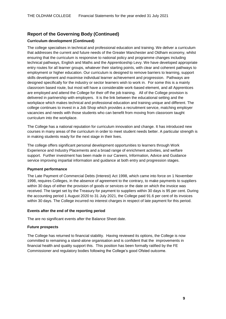#### **Curriculum development (Continued)**

The college specialises in technical and professional education and training. We deliver a curriculum that addresses the current and future needs of the Greater Manchester and Oldham economy, whilst ensuring that the curriculum is responsive to national policy and programme changes including technical pathways, English and Maths and the Apprenticeship Levy. We have developed appropriate entry routes for all learner groups, whatever their starting points, with clear and coherent pathways to employment or higher education. Our curriculum is designed to remove barriers to learning, support skills development and maximise individual learner achievement and progression. Pathways are designed specifically for the industry or sector learners wish to work in. For some this is a mainly classroom based route, but most will have a considerable work-based element, and all Apprentices are employed and attend the College for their off the job training. All of the College provision is delivered in partnership with employers. It is the link between the educational setting and the workplace which makes technical and professional education and training unique and different. The college continues to invest in a Job Shop which provides a recruitment service, matching employer vacancies and needs with those students who can benefit from moving from classroom taught curriculum into the workplace.

The College has a national reputation for curriculum innovation and change. It has introduced new courses in many areas of the curriculum in order to meet student needs better. A particular strength is in making students ready for the next stage in their lives.

The college offers significant personal development opportunities to learners through Work Experience and Industry Placements and a broad range of enrichment activities, and welfare support. Further investment has been made in our Careers, Information, Advice and Guidance service improving impartial information and guidance at both entry and progression stages.

#### **Payment performance**

The Late Payment of Commercial Debts (Interest) Act 1998, which came into force on 1 November 1998, requires Colleges, in the absence of agreement to the contrary, to make payments to suppliers within 30 days of either the provision of goods or services or the date on which the invoice was received. The target set by the Treasury for payment to suppliers within 30 days is 95 per cent. During the accounting period 1 August 2020 to 31 July 2021, the College paid 91.6 per cent of its invoices within 30 days. The College incurred no interest charges in respect of late payment for this period.

#### **Events after the end of the reporting period**

The are no significant events after the Balance Sheet date.

#### **Future prospects**

The College has returned to financial stability. Having reviewed its options, the College is now committed to remaining a stand-alone organisation and is confident that the improvements in financial health and quality support this. This position has been formally ratified by the FE Commissioner and regulatory bodies following the College's good Ofsted outcome.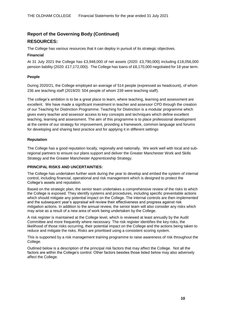# **Report of the Governing Body (Continued) RESOURCES:**

The College has various resources that it can deploy in pursuit of its strategic objectives.

#### **Financial**

At 31 July 2021 the College has £3,948,000 of net assets (2020: £3,790,000) including £18,056,000 pension liability (2020: £17,172,000). The College has loans of £8,170,000 negotiated for 18 year term.

#### **People**

During 2020/21, the College employed an average of 514 people (expressed as headcount), of whom 236 are teaching staff (2019/20: 504 people of whom 239 were teaching staff).

The college's ambition is to be a great place to learn, where teaching, learning and assessment are excellent. We have made a significant investment in teacher and assessor CPD through the creation of our Teaching for Distinction Programme. Teaching for Distinction is a modular programme which gives every teacher and assessor access to key concepts and techniques which define excellent teaching, learning and assessment. The aim of this programme is to place professional development at the centre of our strategy for improvement, providing a framework, common language and forums for developing and sharing best practice and for applying it in different settings

#### **Reputation**

The College has a good reputation locally, regionally and nationally. We work well with local and subregional partners to ensure our plans support and deliver the Greater Manchester Work and Skills Strategy and the Greater Manchester Apprenticeship Strategy.

#### **PRINCIPAL RISKS AND UNCERTAINTIES:**

The College has undertaken further work during the year to develop and embed the system of internal control, including financial, operational and risk management which is designed to protect the College's assets and reputation.

Based on the strategic plan, the senior team undertakes a comprehensive review of the risks to which the College is exposed. They identify systems and procedures, including specific preventable actions which should mitigate any potential impact on the College. The internal controls are then implemented and the subsequent year's appraisal will review their effectiveness and progress against risk mitigation actions. In addition to the annual review, the senior team will also consider any risks which may arise as a result of a new area of work being undertaken by the College.

A risk register is maintained at the College level, which is reviewed at least annually by the Audit Committee and more frequently where necessary. The risk register identifies the key risks, the likelihood of those risks occurring, their potential impact on the College and the actions being taken to reduce and mitigate the risks. Risks are prioritised using a consistent scoring system.

This is supported by a risk management training programme to raise awareness of risk throughout the College.

Outlined below is a description of the principal risk factors that may affect the College. Not all the factors are within the College's control. Other factors besides those listed below may also adversely affect the College.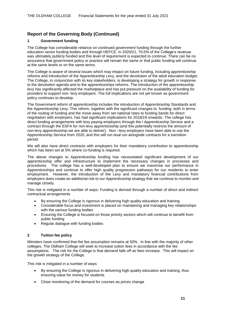#### **1 Government funding**

The College has considerable reliance on continued government funding through the further education sector funding bodies and through HEFCE. In 2020/21, 70.5% of the College's revenue was ultimately publicly funded and this level of requirement is expected to continue. There can be no assurance that government policy or practice will remain the same or that public funding will continue at the same levels or on the same terms.

The College is aware of several issues which may impact on future funding, including apprenticeship reforms and introduction of the Apprenticeship Levy, and the devolution of the adult education budget. The College, in conjunction with its key stakeholders, is developing a strategy for growth in response to the devolution agenda and to the apprenticeships reforms. The introduction of the apprenticeship levy has significantly affected the marketplace and has put pressure on the availability of funding for providers to support non- levy employers. The full implications are not yet known as government policy continues to develop.

The Government reform of apprenticeship includes the introduction of Apprenticeship Standards and the Apprenticeship Levy. This reform, together with the significant changes to funding, both in terms of the routing of funding and the move away from set national rates to funding bands for direct negotiation with employers, has had significant implications for 2018/19 onwards. The college has direct funding arrangements with levy paying employers through the l Apprenticeship Service and a contract through the ESFA for non-levy apprenticeship (and this potentially restricts the amount of non-levy apprenticeship we are able to deliver). Non –levy employers have been able to use the Apprenticeship Service from 2020, and this will run dual run alongside contracts for a transition period.

We will also have direct contracts with employers for their mandatory contribution to apprenticeship which has been set at 5% where co-funding is required.

The above changes to Apprenticeship funding has necessitated significant development of our apprenticeship offer and infrastructure to implement the necessary changes in processes and procedures. The college has a well-developed plan to ensure we maximise our performance in Apprenticeships and continue to offer high quality progression pathways for our residents to enter employment. However, the introduction of the Levy and mandatory financial contributions from employers does create an additional risk to our Apprenticeship strategy that we continue to monitor and manage closely.

This risk is mitigated in a number of ways: Funding is derived through a number of direct and indirect contractual arrangements

- By ensuring the College is rigorous in delivering high quality education and training
- Considerable focus and investment is placed on maintaining and managing key relationships with the various funding bodies
- Ensuring the College is focused on those priority sectors which will continue to benefit from public funding
- Regular dialogue with funding bodies

#### **2 Tuition fee policy**

Ministers have confirmed that the fee assumption remains at 50%. In line with the majority of other colleges, The Oldham College will seek to increase tuition fees in accordance with the fee assumptions. The risk for the College is that demand falls off as fees increase. This will impact on the growth strategy of the College.

This risk is mitigated in a number of ways:

- By ensuring the College is rigorous in delivering high quality education and training, thus ensuring value for money for students
- Close monitoring of the demand for courses as prices change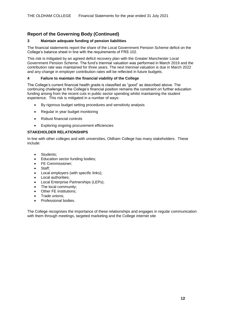#### **3 Maintain adequate funding of pension liabilities**

The financial statements report the share of the Local Government Pension Scheme deficit on the College's balance sheet in line with the requirements of FRS 102.

This risk is mitigated by an agreed deficit recovery plan with the Greater Manchester Local Government Pension Scheme. The fund's triennial valuation was performed in March 2019 and the contribution rate was maintained for three years. The next triennial valuation is due in March 2022 and any change in employer contribution rates will be reflected in future budgets.

#### **4 Failure to maintain the financial viability of the College**

The College's current financial health grade is classified as "good" as described above. The continuing challenge to the College's financial position remains the constraint on further education funding arising from the recent cuts in public sector spending whilst maintaining the student experience. This risk is mitigated in a number of ways:

- By rigorous budget setting procedures and sensitivity analysis
- Regular in year budget monitoring
- Robust financial controls
- Exploring ongoing procurement efficiencies

#### **STAKEHOLDER RELATIONSHIPS**

In line with other colleges and with universities, Oldham College has many stakeholders. These include:

- Students:
- Education sector funding bodies;
- FE Commissioner;
- Staff:
- Local employers (with specific links);
- Local authorities;
- Local Enterprise Partnerships (LEPs);
- The local community;
- Other FE institutions:
- Trade unions:
- Professional bodies.

The College recognises the importance of these relationships and engages in regular communication with them through meetings, targeted marketing and the College internet site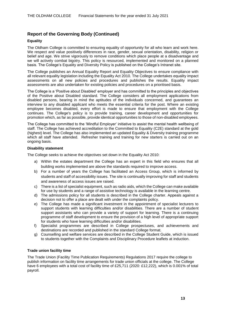#### **Equality**

The Oldham College is committed to ensuring equality of opportunity for all who learn and work here. We respect and value positively differences in race, gender, sexual orientation, disability, religion or belief and age. We strive vigorously to remove conditions which place people at a disadvantage and we will actively combat bigotry. This policy is resourced, implemented and monitored on a planned basis. The College's Equality and Diversity Policy is published on the College's Intranet site.

The College publishes an Annual Equality Report and Equality Objectives to ensure compliance with all relevant equality legislation including the Equality Act 2010. The College undertakes equality impact assessments on all new policies and procedures and publishes the results. Equality impact assessments are also undertaken for existing policies and procedures on a prioritised basis.

The College is a 'Positive about Disabled' employer and has committed to the principles and objectives of the Positive about Disabled standard. The College considers all employment applications from disabled persons, bearing in mind the aptitudes of the individuals concerned, and guarantees an interview to any disabled applicant who meets the essential criteria for the post. Where an existing employee becomes disabled, every effort is made to ensure that employment with the College continues. The College's policy is to provide training, career development and opportunities for promotion which, as far as possible, provide identical opportunities to those of non-disabled employees.

The College has committed to the 'Mindful Employer' initiative to assist the mental health wellbeing of staff. The College has achieved accreditation to the Committed to Equality (C2E) standard at the gold (highest) level. The College has also implemented an updated Equality & Diversity training programme which all staff have attended. Refresher training and training for new starters is carried out on an ongoing basis.

#### **Disability statement**

The College seeks to achieve the objectives set down in the Equality Act 2010:

- a) Within the estates department the College has an expert in this field who ensures that all building works implemented are above the standards required to improve access.
- b) For a number of years the College has facilitated an Access Group, which is informed by students and staff of accessibility issues. The site is continually improving for staff and students and awareness of access issues are raised.
- c) There is a list of specialist equipment, such as radio aids, which the College can make available for use by students and a range of assistive technology is available in the learning centre.
- d) The admissions policy for all students is described in the College charter. Appeals against a decision not to offer a place are dealt with under the complaints policy.
- e) The College has made a significant investment in the appointment of specialist lecturers to support students with learning difficulties and/or disabilities. There are a number of student support assistants who can provide a variety of support for learning. There is a continuing programme of staff development to ensure the provision of a high level of appropriate support for students who have learning difficulties and/or disabilities.
- f) Specialist programmes are described in College prospectuses, and achievements and destinations are recorded and published in the standard College format.
- g) Counselling and welfare services are described in the College Student Guide, which is issued to students together with the Complaints and Disciplinary Procedure leaflets at induction.

#### **Trade union facility time**

The Trade Union (Facility Time Publication Requirements) Regulations 2017 require the college to publish information on facility time arrangements for trade union officials at the college. The College have 6 employees with a total cost of facility time of £25,711 (2020: £12,222), which is 0.001% of total payroll.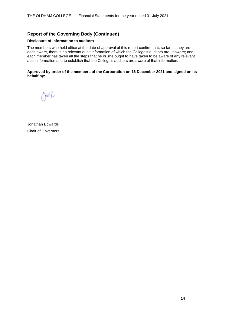#### **Disclosure of information to auditors**

The members who held office at the date of approval of this report confirm that, so far as they are each aware, there is no relevant audit information of which the College's auditors are unaware; and each member has taken all the steps that he or she ought to have taken to be aware of any relevant audit information and to establish that the College's auditors are aware of that information.

#### **Approved by order of the members of the Corporation on 16 December 2021 and signed on its behalf by:**

post the

Jonathan Edwards Chair of Governors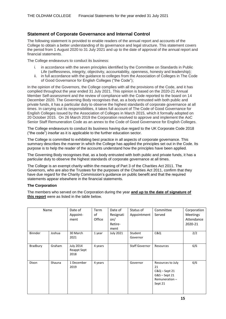### **Statement of Corporate Governance and Internal Control**

The following statement is provided to enable readers of the annual report and accounts of the College to obtain a better understanding of its governance and legal structure. This statement covers the period from 1 August 2020 to 31 July 2021 and up to the date of approval of the annual report and financial statements.

The College endeavours to conduct its business:

- i. in accordance with the seven principles identified by the Committee on Standards in Public Life (selflessness, integrity, objectivity, accountability, openness, honesty and leadership);
- ii. in full accordance with the guidance to colleges from the Association of Colleges in The Code of Good Governance for English Colleges ("the Code");

In the opinion of the Governors, the College complies with all the provisions of the Code, and it has complied throughout the year ended 31 July 2021. This opinion is based on the 2020-21 Annual Member Self-assessment and the review of compliance with the Code reported to the board on 14 December 2020. The Governing Body recognises that, as a body entrusted with both public and private funds, it has a particular duty to observe the highest standards of corporate governance at all times. In carrying out its responsibilities, it takes full account of The Code of Good Governance for English Colleges issued by the Association of Colleges in March 2015, which it formally adopted on 20 October 2015. On 26 March 2019 the Corporation resolved to approve and implement the AoC Senior Staff Remuneration Code as an annex to the Code of Good Governance for English Colleges.

The College endeavours to conduct its business having due regard to the UK Corporate Code 2018 ("the code") insofar as it is applicable to the further education sector.

The College is committed to exhibiting best practice in all aspects of corporate governance. This summary describes the manner in which the College has applied the principles set out in the Code. Its purpose is to help the reader of the accounts understand how the principles have been applied.

The Governing Body recognises that, as a body entrusted with both public and private funds, it has a particular duty to observe the highest standards of corporate governance at all times.

The College is an exempt charity within the meaning of Part 3 of the Charities Act 2011. The Governors, who are also the Trustees for the purposes of the Charities Act 2011, confirm that they have due regard for the Charity Commission's guidance on public benefit and that the required statements appear elsewhere in the financial statements.

#### **The Corporation**

The members who served on the Corporation during the year **and up to the date of signature of this report** were as listed in the table below.

| Name           |        | Date of<br>Appoint-<br>ment             | Term<br>of<br>Office | Date of<br>Resignati<br>on/<br>Retire-<br>ment | Status of<br>Appointment | Committee<br>Served                                                                   | Corporation<br><b>Meetings</b><br>Attendance<br>2020-21 |
|----------------|--------|-----------------------------------------|----------------------|------------------------------------------------|--------------------------|---------------------------------------------------------------------------------------|---------------------------------------------------------|
| <b>Binnder</b> | Joshua | 30 March<br>2021                        | 1 year               | <b>July 2021</b>                               | Student<br>Governor      | C&Q                                                                                   | 2/2                                                     |
| Bradbury       | Graham | <b>July 2014</b><br>Reappt Sept<br>2018 | 4 years              |                                                | <b>Staff Governor</b>    | Resources                                                                             | 6/6                                                     |
| Dixon          | Shauna | 1 December<br>2019                      | 4 years              |                                                | Governor                 | Resources to July<br>21<br>$C&Q - Sept 21$<br>G&S-Sept 21<br>Remuneration-<br>Sept 21 | 6/6                                                     |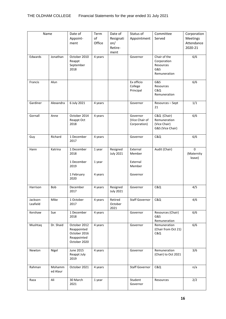| Name                 |                    | Date of<br>Appoint-<br>ment                                                | Term<br>of<br>Office | Date of<br>Resignati<br>on/<br>Retire-<br>ment | Status of<br>Appointment                   | Committee<br>Served                                             | Corporation<br>Meetings<br>Attendance<br>2020-21 |
|----------------------|--------------------|----------------------------------------------------------------------------|----------------------|------------------------------------------------|--------------------------------------------|-----------------------------------------------------------------|--------------------------------------------------|
| Edwards              | Jonathan           | October 2010<br>Reappt<br>September<br>2018                                | 4 years              |                                                | Governor                                   | Chair of the<br>Corporation<br>Resources<br>G&S<br>Remuneration | 6/6                                              |
| Francis              | Alun               |                                                                            |                      |                                                | Ex officio<br>College<br>Principal         | G&S<br>Resources<br>C&Q<br>Remuneration                         | 6/6                                              |
| Gardiner             | Alexandra          | 6 July 2021                                                                | 4 years              |                                                | Governor                                   | Resources - Sept<br>21                                          | 1/1                                              |
| Gornall              | Anne               | October 2014<br>Reappt Oct<br>2018                                         | 4 years              |                                                | Governor<br>(Vice Chair of<br>Corporation) | C&Q (Chair)<br>Remuneration<br>(Vice Chair)<br>G&S (Vice Chair) | 6/6                                              |
| Guy                  | Richard            | 1 December<br>2017                                                         | 4 years              |                                                | Governor                                   | C&Q                                                             | 6/6                                              |
| Hann                 | Katrina            | 1 December<br>2018<br>1 December                                           | 1 year<br>1 year     | Resigned<br><b>July 2021</b>                   | External<br>Member<br>External             | Audit (Chair)                                                   | $\mathbf 0$<br>(Maternity<br>leave)              |
|                      |                    | 2019<br>1 February<br>2020                                                 | 4 years              |                                                | Member<br>Governor                         |                                                                 |                                                  |
| Harrison             | Bob                | December<br>2017                                                           | 4 years              | Resigned<br><b>July 2021</b>                   | Governor                                   | C&Q                                                             | 4/5                                              |
| Jackson-<br>Leafield | Mike               | 1 October<br>2017                                                          | 4 years              | Retired<br>October<br>2021                     | <b>Staff Governor</b>                      | <b>C&amp;Q</b>                                                  | 4/6                                              |
| Kershaw              | Sue                | 1 December<br>2018                                                         | 4 years              |                                                | Governor                                   | Resources (Chair)<br>G&S<br>Remuneration                        | 6/6                                              |
| Mushtaq              | Dr. Shaid          | October 2012<br>Reappointed<br>October 2016<br>Reappointed<br>October 2020 | 4 years              |                                                | Governor                                   | Remuneration<br>(Chair from Oct 21)<br><b>C&amp;Q</b>           | 6/6                                              |
| Newton               | Nigel              | June 2015<br>Reappt July<br>2019                                           | 4 years              |                                                | Governor                                   | Remuneration<br>(Chair) to Oct 2021                             | 3/6                                              |
| Rahman               | Mohamm<br>ed Alaur | October 2021                                                               | 4 years              |                                                | <b>Staff Governor</b>                      | C&Q                                                             | n/a                                              |
| Raza                 | Ali                | 30 March<br>2021                                                           | 1 year               |                                                | Student<br>Governor                        | Resources                                                       | 2/2                                              |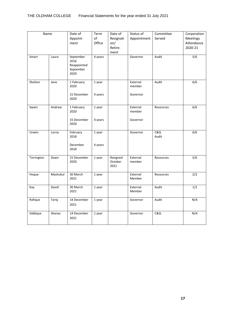| Name       |          | Date of                                               | Term    | Date of                     | Status of          | Committee    | Corporation |
|------------|----------|-------------------------------------------------------|---------|-----------------------------|--------------------|--------------|-------------|
|            |          | Appoint-                                              | of      | Resignati                   | Appointment        | Served       | Meetings    |
|            |          | ment                                                  | Office  | on/                         |                    |              | Attendance  |
|            |          |                                                       |         | Retire-                     |                    |              | 2020-21     |
|            |          |                                                       |         | ment                        |                    |              |             |
| Smart      | Laura    | September<br>2016<br>Reappointed<br>September<br>2020 | 4 years |                             | Governor           | Audit        | 5/6         |
| Shelton    | Jane     | 1 February<br>2020                                    | 1 year  |                             | External<br>member | Audit        | 6/6         |
|            |          | 15 December<br>2020                                   | 4 years |                             | Governor           |              |             |
| Swain      | Andrew   | 1 February                                            | 1 year  |                             | External           | Resources    | 6/6         |
|            |          | 2020                                                  |         |                             | member             |              |             |
|            |          | 15 December<br>2020                                   | 4 years |                             | Governor           |              |             |
| Unwin      | Lorna    | February<br>2018                                      | 1 year  |                             | Governor           | C&Q<br>Audit | 6/6         |
|            |          | December<br>2018                                      | 4 years |                             |                    |              |             |
| Torrington | Dawn     | 15 December<br>2020                                   | 1 year  | Resigned<br>October<br>2021 | External<br>member | Resources    | 5/6         |
| Hoque      | Mashukul | 30 March<br>2021                                      | 1 year  |                             | External<br>Member | Resources    | 2/2         |
| Kay        | David    | 30 March<br>2021                                      | 1 year  |                             | External<br>Member | Audit        | 1/2         |
| Rafique    | Tariq    | 14 December<br>2021                                   | 1 year  |                             | Governor           | Audit        | N/A         |
| Siddique   | Shanaz   | 14 December<br>2021                                   | 1 year  |                             | Governor           | C&Q          | N/A         |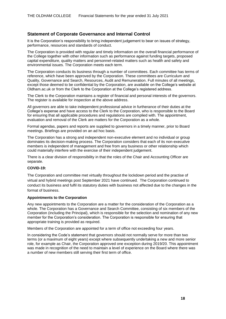### **Statement of Corporate Governance and Internal Control**

It is the Corporation's responsibility to bring independent judgement to bear on issues of strategy, performance, resources and standards of conduct.

The Corporation is provided with regular and timely information on the overall financial performance of the College together with other information such as performance against funding targets, proposed capital expenditure, quality matters and personnel-related matters such as health and safety and environmental issues. The Corporation meets each term.

The Corporation conducts its business through a number of committees. Each committee has terms of reference, which have been approved by the Corporation. These committees are Curriculum and Quality, Governance and Search, Resources, Audit and Remuneration. Full minutes of all meetings, except those deemed to be confidential by the Corporation, are available on the College's website at Oldham.ac.uk or from the Clerk to the Corporation at the College's registered address.

The Clerk to the Corporation maintains a register of financial and personal interests of the governors. The register is available for inspection at the above address.

All governors are able to take independent professional advice in furtherance of their duties at the College's expense and have access to the Clerk to the Corporation, who is responsible to the Board for ensuring that all applicable procedures and regulations are complied with. The appointment, evaluation and removal of the Clerk are matters for the Corporation as a whole.

Formal agendas, papers and reports are supplied to governors in a timely manner, prior to Board meetings. Briefings are provided on an ad hoc basis.

The Corporation has a strong and independent non-executive element and no individual or group dominates its decision-making process. The Corporation considers that each of its non-executive members is independent of management and free from any business or other relationship which could materially interfere with the exercise of their independent judgement.

There is a clear division of responsibility in that the roles of the Chair and Accounting Officer are separate.

#### **COVID-19:**

The Corporation and committee met virtually throughout the lockdown period and the practise of virtual and hybrid meetings post September 2021 have continued. The Corporation continued to conduct its business and fulfil its statutory duties with business not affected due to the changes in the format of business.

#### **Appointments to the Corporation**

Any new appointments to the Corporation are a matter for the consideration of the Corporation as a whole. The Corporation has a Governance and Search Committee, consisting of six members of the Corporation (including the Principal), which is responsible for the selection and nomination of any new member for the Corporation's consideration. The Corporation is responsible for ensuring that appropriate training is provided as required.

Members of the Corporation are appointed for a term of office not exceeding four years.

In considering the Code's statement that governors should not normally serve for more than two terms (or a maximum of eight years) except where subsequently undertaking a new and more senior role, for example as Chair, the Corporation approved one exception during 2019/20. This appointment was made in recognition of the need to maintain a level of experience on the Board where there was a number of new members still serving their first term of office.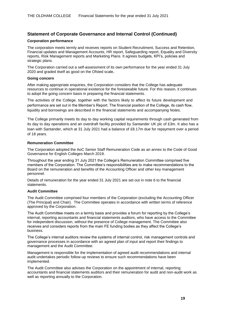#### **Corporation performance**

The corporation meets termly and receives reports on Student Recruitment, Success and Retention, Financial updates and Management Accounts, HR report, Safeguarding report, Equality and Diversity reports, Risk Management reports and Marketing Plans. It agrees budgets, KPI's, policies and strategic plans.

The Corporation carried out a self-assessment of its own performance for the year ended 31 July 2020 and graded itself as good on the Ofsted scale**.**

#### **Going concern**

After making appropriate enquiries, the Corporation considers that the College has adequate resources to continue in operational existence for the foreseeable future. For this reason, it continues to adopt the going concern basis in preparing the financial statements.

The activities of the College, together with the factors likely to affect its future development and performance are set out in the Member's Report. The financial position of the College, its cash flow, liquidity and borrowings are described in the financial statements and accompanying Notes.

The College primarily meets its day to day working capital requirements through cash generated from its day to day operations and an overdraft facility provided by Santander UK plc of £3m. It also has a loan with Santander, which at 31 July 2021 had a balance of £8.17m due for repayment over a period of 18 years.

#### **Remuneration Committee**

The Corporation adopted the AoC Senior Staff Remuneration Code as an annex to the Code of Good Governance for English Colleges March 2019.

Throughout the year ending 31 July 2021 the College's Remuneration Committee comprised five members of the Corporation. The Committee's responsibilities are to make recommendations to the Board on the remuneration and benefits of the Accounting Officer and other key management personnel.

Details of remuneration for the year ended 31 July 2021 are set out in note 6 to the financial statements.

#### **Audit Committee**

The Audit Committee comprised four members of the Corporation (excluding the Accounting Officer (The Principal) and Chair). The Committee operates in accordance with written terms of reference approved by the Corporation.

The Audit Committee meets on a termly basis and provides a forum for reporting by the College's internal, reporting accountants and financial statements auditors, who have access to the Committee for independent discussion, without the presence of College management. The Committee also receives and considers reports from the main FE funding bodies as they affect the College's business.

The College's internal auditors review the systems of internal control, risk management controls and governance processes in accordance with an agreed plan of input and report their findings to management and the Audit Committee.

Management is responsible for the implementation of agreed audit recommendations and internal audit undertakes periodic follow-up reviews to ensure such recommendations have been implemented.

The Audit Committee also advises the Corporation on the appointment of internal, reporting accountants and financial statements auditors and their remuneration for audit and non-audit work as well as reporting annually to the Corporation.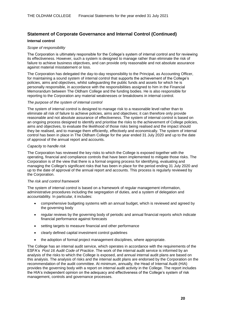#### **Internal control**

#### *Scope of responsibility*

The Corporation is ultimately responsible for the College's system of internal control and for reviewing its effectiveness. However, such a system is designed to manage rather than eliminate the risk of failure to achieve business objectives, and can provide only reasonable and not absolute assurance against material misstatement or loss.

The Corporation has delegated the day-to-day responsibility to the Principal, as Accounting Officer, for maintaining a sound system of internal control that supports the achievement of the College's policies, aims and objectives, whilst safeguarding the public funds and assets for which he is personally responsible, in accordance with the responsibilities assigned to him in the Financial Memorandum between The Oldham College and the funding bodies. He is also responsible for reporting to the Corporation any material weaknesses or breakdowns in internal control.

#### *The purpose of the system of internal control*

The system of internal control is designed to manage risk to a reasonable level rather than to eliminate all risk of failure to achieve policies, aims and objectives; it can therefore only provide reasonable and not absolute assurance of effectiveness. The system of internal control is based on an ongoing process designed to identify and prioritise the risks to the achievement of College policies, aims and objectives, to evaluate the likelihood of those risks being realised and the impact should they be realised, and to manage them efficiently, effectively and economically. The system of internal control has been in place in The Oldham College for the year ended 31 July 2020 and up to the date of approval of the annual report and accounts.

#### *Capacity to handle risk*

The Corporation has reviewed the key risks to which the College is exposed together with the operating, financial and compliance controls that have been implemented to mitigate those risks. The Corporation is of the view that there is a formal ongoing process for identifying, evaluating and managing the College's significant risks that has been in place for the period ending 31 July 2020 and up to the date of approval of the annual report and accounts. This process is regularly reviewed by the Corporation.

#### *The risk and control framework*

The system of internal control is based on a framework of regular management information, administrative procedures including the segregation of duties, and a system of delegation and accountability. In particular, it includes:

- comprehensive budgeting systems with an annual budget, which is reviewed and agreed by the governing body
- regular reviews by the governing body of periodic and annual financial reports which indicate financial performance against forecasts
- setting targets to measure financial and other performance
- clearly defined capital investment control guidelines
- the adoption of formal project management disciplines, where appropriate.

The College has an internal audit service, which operates in accordance with the requirements of the ESFA's *Post 16 Audit Code of Practice*. The work of the internal audit service is informed by an analysis of the risks to which the College is exposed, and annual internal audit plans are based on this analysis. The analysis of risks and the internal audit plans are endorsed by the Corporation on the recommendation of the audit committee. At minimum, annually, the Head of Internal Audit (HIA) provides the governing body with a report on internal audit activity in the College. The report includes the HIA's independent opinion on the adequacy and effectiveness of the College's system of risk management, controls and governance processes.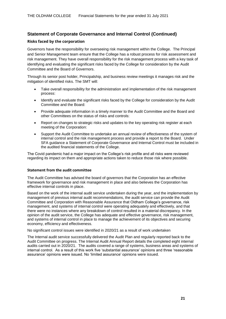#### **Risks faced by the corporation**

Governors have the responsibility for overseeing risk management within the College. The Principal and Senior Management team ensure that the College has a robust process for risk assessment and risk management. They have overall responsibility for the risk management process with a key task of identifying and evaluating the significant risks faced by the College for consideration by the Audit Committee and the Board of Governors.

Through its senior post holder, Principalship, and business review meetings it manages risk and the mitigation of identified risks. The SMT will:

- Take overall responsibility for the administration and implementation of the risk management process:
- Identify and evaluate the significant risks faced by the College for consideration by the Audit Committee and the Board:
- Provide adequate information in a timely manner to the Audit Committee and the Board and other Committees on the status of risks and controls:
- Report on changes to strategic risks and updates to the key operating risk register at each meeting of the Corporation:
- Support the Audit Committee to undertake an annual review of effectiveness of the system of internal control and the risk management process and provide a report to the Board. Under SFA guidance a Statement of Corporate Governance and Internal Control must be included in the audited financial statements of the College.

The Covid pandemic had a major impact on the College's risk profile and all risks were reviewed regarding its impact on them and appropriate actions taken to reduce those risk where possible.

#### **Statement from the audit committee**

The Audit Committee has advised the board of governors that the Corporation has an effective framework for governance and risk management in place and also believes the Corporation has effective internal controls in place.

Based on the work of the internal audit service undertaken during the year, and the implementation by management of previous internal audit recommendations, the audit service can provide the Audit Committee and Corporation with Reasonable Assurance that Oldham College's governance, risk management, and systems of internal control were operating adequately and effectively, and that there were no instances where any breakdown of control resulted in a material discrepancy. In the opinion of the audit service, the College has adequate and effective governance, risk management, and systems of internal control in place to manage the achievement of its objectives and securing economy, efficiency and effectiveness.

No significant control issues were identified in 2020/21 as a result of work undertaken

The Internal audit service successfully delivered the Audit Plan and regularly reported back to the Audit Committee on progress. The Internal Audit Annual Report details the completed eight internal audits carried out in 2020/21. The audits covered a range of systems, business areas and systems of internal control. As a result of this work five 'substantial assurance' opinions and three 'reasonable assurance' opinions were issued. No 'limited assurance' opinions were issued.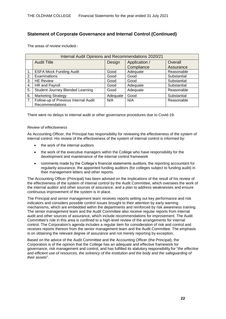The areas of review included:-

|               | Internal Audit Opinions and Recommendations 2020/21 |          |               |             |  |  |
|---------------|-----------------------------------------------------|----------|---------------|-------------|--|--|
|               | <b>Audit Title</b>                                  | Design   | Application / | Overall     |  |  |
|               |                                                     |          | Compliance    | Assurance   |  |  |
| $\mathbf 1$ . | <b>ESFA Mock Funding Audit</b>                      | Good     | Adequate      | Reasonable  |  |  |
| 2.            | Examinations                                        | Good     | Good          | Substantial |  |  |
| 3.            | <b>HE Review</b>                                    | Good     | Good          | Substantial |  |  |
| 4.            | HR and Payroll                                      | Good     | Adequate      | Substantial |  |  |
| 5.            | Student Journey Blended Learning                    | Good     | Adequate      | Reasonable  |  |  |
| 6.            | <b>Marketing Strategy</b>                           | Adequate | Good          | Substantial |  |  |
| 7.            | Follow-up of Previous Internal Audit                | N/A      | N/A           | Reasonable  |  |  |
|               | Recommendations                                     |          |               |             |  |  |

There were no delays to internal audit or other governance procedures due to Covid-19.

#### *Review of effectiveness*

As Accounting Officer, the Principal has responsibility for reviewing the effectiveness of the system of internal control. His review of the effectiveness of the system of internal control is informed by:

- the work of the internal auditors
- the work of the executive managers within the College who have responsibility for the development and maintenance of the internal control framework
- comments made by the College's financial statements auditors, the reporting accountant for regularity assurance, the appointed funding auditors (for colleges subject to funding audit) in their management letters and other reports.

The Accounting Officer (Principal) has been advised on the implications of the result of his review of the effectiveness of the system of internal control by the Audit Committee, which oversees the work of the internal auditor and other sources of assurance, and a plan to address weaknesses and ensure continuous improvement of the system is in place.

The Principal and senior management team receives reports setting out key performance and risk indicators and considers possible control issues brought to their attention by early warning mechanisms, which are embedded within the departments and reinforced by risk awareness training. The senior management team and the Audit Committee also receive regular reports from internal audit and other sources of assurance, which include recommendations for improvement. The Audit Committee's role in this area is confined to a high-level review of the arrangements for internal control. The Corporation's agenda includes a regular item for consideration of risk and control and receives reports thereon from the senior management team and the Audit Committee. The emphasis is on obtaining the relevant degree of assurance and not merely reporting by exception.

Based on the advice of the Audit Committee and the Accounting Officer (the Principal), the Corporation is of the opinion that the College has an adequate and effective framework for governance, risk management and control, and has fulfilled its statutory responsibility for "*the effective and efficient use of resources, the solvency of the institution and the body and the safeguarding of their assets*".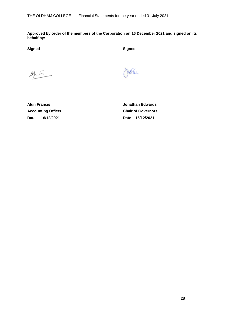**Approved by order of the members of the Corporation on 16 December 2021 and signed on its behalf by:**

**Signed Signed**

 $44.5$ 

fest over

**Alun Francis Jonathan Edwards Accounting Officer Chair of Governors Date 16/12/2021 Date 16/12/2021**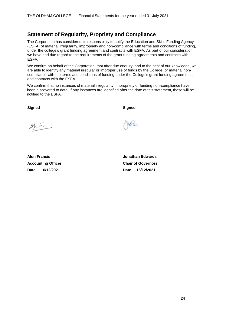### **Statement of Regularity, Propriety and Compliance**

The Corporation has considered its responsibility to notify the Education and Skills Funding Agency (ESFA) of material irregularity, impropriety and non-compliance with terms and conditions of funding, under the college's grant funding agreement and contracts with ESFA. As part of our consideration we have had due regard to the requirements of the grant funding agreements and contracts with ESFA.

We confirm on behalf of the Corporation, that after due enquiry, and to the best of our knowledge, we are able to identify any material irregular or improper use of funds by the College, or material noncompliance with the terms and conditions of funding under the College's grant funding agreements and contracts with the ESFA.

We confirm that no instances of material irregularity, impropriety or funding non-compliance have been discovered to date. If any instances are identified after the date of this statement, these will be notified to the ESFA.

**Signed Signed**

pot the

 $44.5$ 

**Accounting Officer Chair of Governors Date 16/12/2021 Date 16/12/2021**

**Alun Francis Jonathan Edwards**

 **24**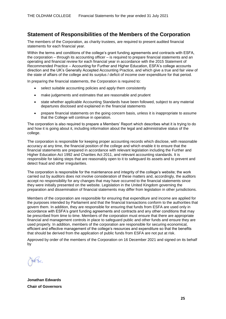### **Statement of Responsibilities of the Members of the Corporation**

The members of the Corporation, as charity trustees, are required to present audited financial statements for each financial year.

Within the terms and conditions of the college's grant funding agreements and contracts with ESFA, the corporation – through its accounting officer – is required to prepare financial statements and an operating and financial review for each financial year in accordance with the 2015 Statement of Recommended Practice – Accounting for Further and Higher Education, ESFA's college accounts direction and the UK's Generally Accepted Accounting Practice, and which give a true and fair view of the state of affairs of the college and its surplus / deficit of income over expenditure for that period.

In preparing the financial statements, the Corporation is required to:

- select suitable accounting policies and apply them consistently
- make judgements and estimates that are reasonable and prudent
- state whether applicable Accounting Standards have been followed, subject to any material departures disclosed and explained in the financial statements
- prepare financial statements on the going concern basis, unless it is inappropriate to assume that the College will continue in operation.

The corporation is also required to prepare a Members' Report which describes what it is trying to do and how it is going about it, including information about the legal and administrative status of the college.

The corporation is responsible for keeping proper accounting records which disclose, with reasonable accuracy at any time, the financial position of the college and which enable it to ensure that the financial statements are prepared in accordance with relevant legislation including the Further and Higher Education Act 1992 and Charities Act 2011, and relevant accounting standards. It is responsible for taking steps that are reasonably open to it to safeguard its assets and to prevent and detect fraud and other irregularities.

The corporation is responsible for the maintenance and integrity of the college's website; the work carried out by auditors does not involve consideration of these matters and, accordingly, the auditors accept no responsibility for any changes that may have occurred to the financial statements since they were initially presented on the website. Legislation in the United Kingdom governing the preparation and dissemination of financial statements may differ from legislation in other jurisdictions.

Members of the corporation are responsible for ensuring that expenditure and income are applied for the purposes intended by Parliament and that the financial transactions conform to the authorities that govern them. In addition, they are responsible for ensuring that funds from ESFA are used only in accordance with ESFA's grant funding agreements and contracts and any other conditions that may be prescribed from time to time. Members of the corporation must ensure that there are appropriate financial and management controls in place to safeguard public and other funds and ensure they are used properly. In addition, members of the corporation are responsible for securing economical, efficient and effective management of the college's resources and expenditure so that the benefits that should be derived from the application of public funds from ESFA are not put at risk.

Approved by order of the members of the Corporation on 16 December 2021 and signed on its behalf by

**Jonathan Edwards Chair of Governors**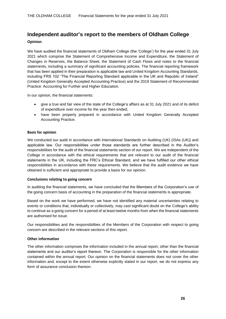## **Independent auditor's report to the members of Oldham College Opinion**

We have audited the financial statements of Oldham College (the 'College') for the year ended 31 July 2021 which comprise the Statement of Comprehensive Income and Expenditure, the Statement of Changes in Reserves, the Balance Sheet, the Statement of Cash Flows and notes to the financial statements, including a summary of significant accounting policies. The financial reporting framework that has been applied in their preparation is applicable law and United Kingdom Accounting Standards, including FRS 102 "The Financial Reporting Standard applicable in the UK and Republic of Ireland" (United Kingdom Generally Accepted Accounting Practice) and the 2019 Statement of Recommended Practice: Accounting for Further and Higher Education.

In our opinion, the financial statements:

- give a true and fair view of the state of the College's affairs as at 31 July 2021 and of its deficit of expenditure over income for the year then ended;
- have been properly prepared in accordance with United Kingdom Generally Accepted Accounting Practice.

#### **Basis for opinion**

We conducted our audit in accordance with International Standards on Auditing (UK) (ISAs (UK)) and applicable law. Our responsibilities under those standards are further described in the Auditor's responsibilities for the audit of the financial statements section of our report. We are independent of the College in accordance with the ethical requirements that are relevant to our audit of the financial statements in the UK, including the FRC's Ethical Standard, and we have fulfilled our other ethical responsibilities in accordance with these requirements. We believe that the audit evidence we have obtained is sufficient and appropriate to provide a basis for our opinion.

#### **Conclusions relating to going concern**

In auditing the financial statements, we have concluded that the Members of the Corporation's use of the going concern basis of accounting in the preparation of the financial statements is appropriate.

Based on the work we have performed, we have not identified any material uncertainties relating to events or conditions that, individually or collectively, may cast significant doubt on the College's ability to continue as a going concern for a period of at least twelve months from when the financial statements are authorised for issue.

Our responsibilities and the responsibilities of the Members of the Corporation with respect to going concern are described in the relevant sections of this report.

#### **Other information**

The other information comprises the information included in the annual report, other than the financial statements and our auditor's report thereon. The Corporation is responsible for the other information contained within the annual report. Our opinion on the financial statements does not cover the other information and, except to the extent otherwise explicitly stated in our report, we do not express any form of assurance conclusion thereon.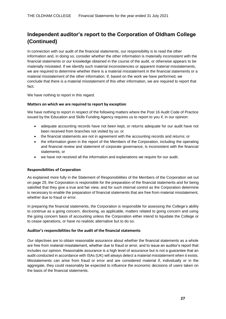# **Independent auditor's report to the Corporation of Oldham College (Continued)**

In connection with our audit of the financial statements, our responsibility is to read the other information and, in doing so, consider whether the other information is materially inconsistent with the financial statements or our knowledge obtained in the course of the audit, or otherwise appears to be materially misstated. If we identify such material inconsistencies or apparent material misstatements, we are required to determine whether there is a material misstatement in the financial statements or a material misstatement of the other information. If, based on the work we have performed, we conclude that there is a material misstatement of this other information, we are required to report that fact.

We have nothing to report in this regard.

#### **Matters on which we are required to report by exception**

We have nothing to report in respect of the following matters where the Post 16 Audit Code of Practice issued by the Education and Skills Funding Agency requires us to report to you if, in our opinion:

- adequate accounting records have not been kept, or returns adequate for our audit have not been received from branches not visited by us; or
- the financial statements are not in agreement with the accounting records and returns; or
- the information given in the report of the Members of the Corporation, including the operating and financial review and statement of corporate governance, is inconsistent with the financial statements; or
- we have not received all the information and explanations we require for our audit.

#### **Responsibilities of Corporation**

As explained more fully in the Statement of Responsibilities of the Members of the Corporation set out on page 25, the Corporation is responsible for the preparation of the financial statements and for being satisfied that they give a true and fair view, and for such internal control as the Corporation determine is necessary to enable the preparation of financial statements that are free from material misstatement, whether due to fraud or error.

In preparing the financial statements, the Corporation is responsible for assessing the College's ability to continue as a going concern, disclosing, as applicable, matters related to going concern and using the going concern basis of accounting unless the Corporation either intend to liquidate the College or to cease operations, or have no realistic alternative but to do so.

#### **Auditor's responsibilities for the audit of the financial statements**

Our objectives are to obtain reasonable assurance about whether the financial statements as a whole are free from material misstatement, whether due to fraud or error, and to issue an auditor's report that includes our opinion. Reasonable assurance is a high level of assurance but is not a guarantee that an audit conducted in accordance with ISAs (UK) will always detect a material misstatement when it exists. Misstatements can arise from fraud or error and are considered material if, individually or in the aggregate, they could reasonably be expected to influence the economic decisions of users taken on the basis of the financial statements.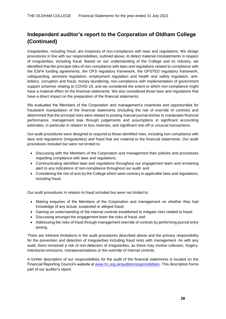# **Independent auditor's report to the Corporation of Oldham College (Continued)**

Irregularities, including fraud, are instances of non-compliance with laws and regulations. We design procedures in line with our responsibilities, outlined above, to detect material misstatements in respect of irregularities, including fraud. Based on our understanding of the College and its industry, we identified that the principal risks of non-compliance with laws and regulations related to compliance with the ESFA funding agreements, the OFS regulatory framework, the OFSTED regulatory framework, safeguarding, pensions legislation, employment regulation and health and safety regulation, antibribery, corruption and fraud, money laundering, non-compliance with implementation of government support schemes relating to COVID-19, and we considered the extent to which non-compliance might have a material effect on the financial statements. We also considered those laws and regulations that have a direct impact on the preparation of the financial statements.

We evaluated the Members of the Corporation and management's incentives and opportunities for fraudulent manipulation of the financial statements (including the risk of override of controls) and determined that the principal risks were related to posting manual journal entries to manipulate financial performance, management bias through judgements and assumptions in significant accounting estimates, in particular in relation to loss reserves, and significant one-off or unusual transactions.

Our audit procedures were designed to respond to those identified risks, including non-compliance with laws and regulations (irregularities) and fraud that are material to the financial statements. Our audit procedures included but were not limited to:

- Discussing with the Members of the Corporation and management their policies and procedures regarding compliance with laws and regulations;
- Communicating identified laws and regulations throughout our engagement team and remaining alert to any indications of non-compliance throughout our audit; and
- Considering the risk of acts by the College which were contrary to applicable laws and regulations, including fraud.

Our audit procedures in relation to fraud included but were not limited to:

- Making enquiries of the Members of the Corporation and management on whether they had knowledge of any actual, suspected or alleged fraud;
- Gaining an understanding of the internal controls established to mitigate risks related to fraud;
- Discussing amongst the engagement team the risks of fraud; and
- Addressing the risks of fraud through management override of controls by performing journal entry testing.

There are inherent limitations in the audit procedures described above and the primary responsibility for the prevention and detection of irregularities including fraud rests with management. As with any audit, there remained a risk of non-detection of irregularities, as these may involve collusion, forgery, intentional omissions, misrepresentations or the override of internal controls.

A further description of our responsibilities for the audit of the financial statements is located on the Financial Reporting Council's website a[t www.frc.org.uk/auditorsresponsibilities.](http://www.frc.org.uk/auditorsresponsibilities) This description forms part of our auditor's report.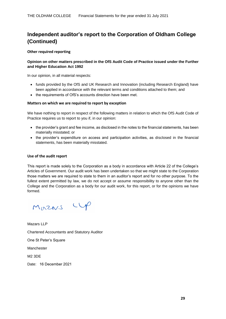# **Independent auditor's report to the Corporation of Oldham College (Continued)**

#### **Other required reporting**

#### **Opinion on other matters prescribed in the OfS Audit Code of Practice issued under the Further and Higher Education Act 1992**

In our opinion, in all material respects:

- funds provided by the OfS and UK Research and Innovation (including Research England) have been applied in accordance with the relevant terms and conditions attached to them; and
- the requirements of OfS's accounts direction have been met.

#### **Matters on which we are required to report by exception**

We have nothing to report in respect of the following matters in relation to which the OfS Audit Code of Practice requires us to report to you if, in our opinion:

- the provider's grant and fee income, as disclosed in the notes to the financial statements, has been materially misstated; or
- the provider's expenditure on access and participation activities, as disclosed in the financial statements, has been materially misstated.

#### **Use of the audit report**

This report is made solely to the Corporation as a body in accordance with Article 22 of the College's Articles of Government. Our audit work has been undertaken so that we might state to the Corporation those matters we are required to state to them in an auditor's report and for no other purpose. To the fullest extent permitted by law, we do not accept or assume responsibility to anyone other than the College and the Corporation as a body for our audit work, for this report, or for the opinions we have formed.

Mazars CUP

Mazars LLP Chartered Accountants and Statutory Auditor One St Peter's Square Manchester M2 3DE Date: 16 December 2021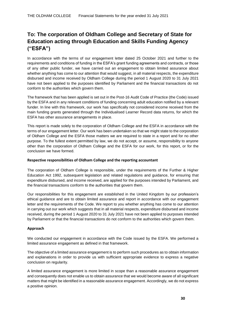# **To: The corporation of Oldham College and Secretary of State for Education acting through Education and Skills Funding Agency ("ESFA")**

In accordance with the terms of our engagement letter dated 25 October 2021 and further to the requirements and conditions of funding in the ESFA's grant funding agreements and contracts, or those of any other public funder, we have carried out an engagement to obtain limited assurance about whether anything has come to our attention that would suggest, in all material respects, the expenditure disbursed and income received by Oldham College during the period 1 August 2020 to 31 July 2021 have not been applied to the purposes identified by Parliament and the financial transactions do not conform to the authorities which govern them.

The framework that has been applied is set out in the Post-16 Audit Code of Practice (the Code) issued by the ESFA and in any relevant conditions of funding concerning adult education notified by a relevant funder. In line with this framework, our work has specifically not considered income received from the main funding grants generated through the Individualised Learner Record data returns, for which the ESFA has other assurance arrangements in place.

This report is made solely to the corporation of Oldham College and the ESFA in accordance with the terms of our engagement letter. Our work has been undertaken so that we might state to the corporation of Oldham College and the ESFA those matters we are required to state in a report and for no other purpose. To the fullest extent permitted by law, we do not accept, or assume, responsibility to anyone other than the corporation of Oldham College and the ESFA for our work, for this report, or for the conclusion we have formed.

#### **Respective responsibilities of Oldham College and the reporting accountant**

The corporation of Oldham College is responsible, under the requirements of the Further & Higher Education Act 1992, subsequent legislation and related regulations and guidance, for ensuring that expenditure disbursed, and income received, are applied for the purposes intended by Parliament, and the financial transactions conform to the authorities that govern them.

Our responsibilities for this engagement are established in the United Kingdom by our profession's ethical guidance and are to obtain limited assurance and report in accordance with our engagement letter and the requirements of the Code. We report to you whether anything has come to our attention in carrying out our work which suggests that in all material respects, expenditure disbursed and income received, during the period 1 August 2020 to 31 July 2021 have not been applied to purposes intended by Parliament or that the financial transactions do not conform to the authorities which govern them.

#### **Approach**

We conducted our engagement in accordance with the Code issued by the ESFA. We performed a limited assurance engagement as defined in that framework.

The objective of a limited assurance engagement is to perform such procedures as to obtain information and explanations in order to provide us with sufficient appropriate evidence to express a negative conclusion on regularity.

A limited assurance engagement is more limited in scope than a reasonable assurance engagement and consequently does not enable us to obtain assurance that we would become aware of all significant matters that might be identified in a reasonable assurance engagement. Accordingly, we do not express a positive opinion.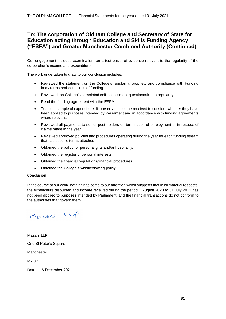### **To: The corporation of Oldham College and Secretary of State for Education acting through Education and Skills Funding Agency ("ESFA") and Greater Manchester Combined Authority (Continued)**

Our engagement includes examination, on a test basis, of evidence relevant to the regularity of the corporation's income and expenditure.

The work undertaken to draw to our conclusion includes:

- Reviewed the statement on the College's regularity, propriety and compliance with Funding body terms and conditions of funding.
- Reviewed the College's completed self-assessment questionnaire on regularity.
- Read the funding agreement with the ESFA.
- Tested a sample of expenditure disbursed and income received to consider whether they have been applied to purposes intended by Parliament and in accordance with funding agreements where relevant.
- Reviewed all payments to senior post holders on termination of employment or in respect of claims made in the year.
- Reviewed approved policies and procedures operating during the year for each funding stream that has specific terms attached.
- Obtained the policy for personal gifts and/or hospitality.
- Obtained the register of personal interests.
- Obtained the financial regulations/financial procedures.
- Obtained the College's whistleblowing policy.

#### **Conclusion**

In the course of our work, nothing has come to our attention which suggests that in all material respects, the expenditure disbursed and income received during the period 1 August 2020 to 31 July 2021 has not been applied to purposes intended by Parliament, and the financial transactions do not conform to the authorities that govern them.

Mazars CUP

Mazars LLP One St Peter's Square Manchester M2 3DE

Date: 16 December 2021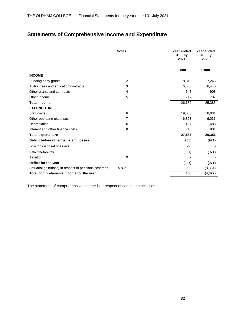# **Statements of Comprehensive Income and Expenditure**

|                                                      | <b>Notes</b> | Year ended<br>31 July<br>2021 | Year ended<br>31 July<br>2020 |
|------------------------------------------------------|--------------|-------------------------------|-------------------------------|
|                                                      |              | £'000                         | £'000                         |
| <b>INCOME</b>                                        |              |                               |                               |
| Funding body grants                                  | 2            | 18,819                        | 17,245                        |
| Tuition fees and education contracts                 | 3            | 6,503                         | 6,445                         |
| Other grants and contracts                           | 4            | 648                           | 908                           |
| Other income                                         | 5            | 712                           | 787                           |
| <b>Total income</b>                                  |              | 26,682                        | 25,385                        |
| <b>EXPENDITURE</b>                                   |              |                               |                               |
| Staff costs                                          | 6            | 19,030                        | 18,031                        |
| Other operating expenses                             | 7            | 6,323                         | 6,036                         |
| Depreciation                                         | 10           | 1,494                         | 1,488                         |
| Interest and other finance costs                     | 8            | 740                           | 801                           |
| <b>Total expenditure</b>                             |              | 27,587                        | 26,356                        |
| Deficit before other gains and losses                |              | (905)                         | (971)                         |
| Loss on disposal of assets                           |              | (2)                           |                               |
| Deficit before tax                                   |              | (907)                         | (971)                         |
| Taxation                                             | 9            |                               |                               |
| Deficit for the year                                 |              | (907)                         | (971)                         |
| Actuarial gain/(loss) in respect of pensions schemes | 15 & 21      | 1,065                         | (3, 351)                      |
| Total comprehensive income for the year              |              | 158                           | (4, 322)                      |

The statement of comprehensive income is in respect of continuing activities.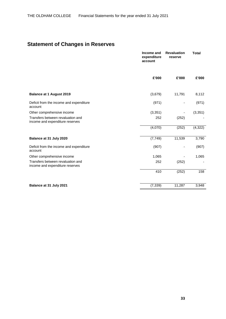# **Statement of Changes in Reserves**

|                                                                      | Income and<br>expenditure<br>account | <b>Revaluation</b><br>reserve | <b>Total</b> |
|----------------------------------------------------------------------|--------------------------------------|-------------------------------|--------------|
|                                                                      | £'000                                | £'000                         | £'000        |
| <b>Balance at 1 August 2019</b>                                      | (3,679)                              | 11,791                        | 8,112        |
| Deficit from the income and expenditure<br>account                   | (971)                                |                               | (971)        |
| Other comprehensive income                                           | (3, 351)                             |                               | (3, 351)     |
| Transfers between revaluation and<br>income and expenditure reserves | 252                                  | (252)                         |              |
|                                                                      | (4,070)                              | (252)                         | (4, 322)     |
| Balance at 31 July 2020                                              | (7, 749)                             | 11,539                        | 3,790        |
| Deficit from the income and expenditure<br>account                   | (907)                                |                               | (907)        |
| Other comprehensive income                                           | 1,065                                |                               | 1,065        |
| Transfers between revaluation and<br>income and expenditure reserves | 252                                  | (252)                         |              |
|                                                                      | 410                                  | (252)                         | 158          |
| Balance at 31 July 2021                                              | (7, 339)                             | 11,287                        | 3,948        |
|                                                                      |                                      |                               |              |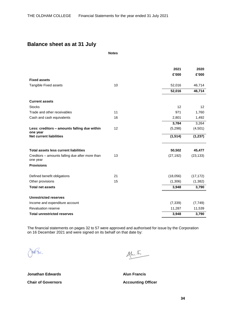### **Balance sheet as at 31 July**

**Notes**

|                                                             |    | 2021      | 2020      |
|-------------------------------------------------------------|----|-----------|-----------|
|                                                             |    | £'000     | £'000     |
| <b>Fixed assets</b>                                         |    |           |           |
| Tangible Fixed assets                                       | 10 | 52,016    | 46,714    |
|                                                             |    | 52,016    | 46,714    |
| <b>Current assets</b>                                       |    |           |           |
| <b>Stocks</b>                                               |    | 12        | 12        |
| Trade and other receivables                                 | 11 | 971       | 1,760     |
| Cash and cash equivalents                                   | 16 | 2,801     | 1,492     |
|                                                             |    | 3,784     | 3,264     |
| Less: creditors - amounts falling due within                | 12 | (5,298)   | (4,501)   |
| one year<br><b>Net current liabilities</b>                  |    | (1, 514)  | (1, 237)  |
| <b>Total assets less current liabilities</b>                |    | 50,502    | 45,477    |
| Creditors – amounts falling due after more than<br>one year | 13 | (27, 192) | (23, 133) |
| <b>Provisions</b>                                           |    |           |           |
| Defined benefit obligations                                 | 21 | (18,056)  | (17, 172) |
| Other provisions                                            | 15 | (1,306)   | (1, 382)  |
| <b>Total net assets</b>                                     |    | 3,948     | 3,790     |
| <b>Unrestricted reserves</b>                                |    |           |           |
| Income and expenditure account                              |    | (7, 339)  | (7, 749)  |
| <b>Revaluation reserve</b>                                  |    | 11,287    | 11,539    |
| <b>Total unrestricted reserves</b>                          |    | 3,948     | 3,790     |

The financial statements on pages 32 to 57 were approved and authorised for issue by the Corporation on 16 December 2021 and were signed on its behalf on that date by:

fest the

 $44.5$ 

**Jonathan Edwards Alun Francis Chair of Governors Chair Covernors Accounting Officer**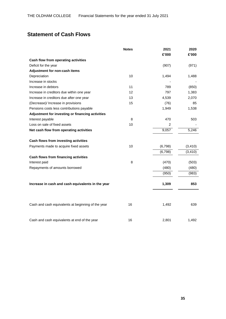# **Statement of Cash Flows**

|                                                    | <b>Notes</b> | 2021    | 2020     |
|----------------------------------------------------|--------------|---------|----------|
|                                                    |              | £'000   | £'000    |
| Cash flow from operating activities                |              |         |          |
| Deficit for the year                               |              | (907)   | (971)    |
| Adjustment for non-cash items                      |              |         |          |
| Depreciation                                       | 10           | 1,494   | 1,488    |
| Increase in stocks                                 |              |         |          |
| Increase in debtors                                | 11           | 789     | (850)    |
| Increase in creditors due within one year          | 12           | 797     | 1,383    |
| Increase in creditors due after one year           | 13           | 4,539   | 2,070    |
| (Decrease)/ Increase in provisions                 | 15           | (76)    | 85       |
| Pensions costs less contributions payable          |              | 1,949   | 1,538    |
| Adjustment for investing or financing activities   |              |         |          |
| Interest payable                                   | 8            | 470     | 503      |
| Loss on sale of fixed assets                       | 10           | 2       |          |
| Net cash flow from operating activities            |              | 9,057   | 5,246    |
| Cash flows from investing activities               |              |         |          |
| Payments made to acquire fixed assets              | 10           | (6,798) | (3, 410) |
|                                                    |              | (6,798) | (3, 410) |
| Cash flows from financing activities               |              |         |          |
| Interest paid                                      | 8            | (470)   | (503)    |
| Repayments of amounts borrowed                     |              | (480)   | (480)    |
|                                                    |              | (950)   | (983)    |
| Increase in cash and cash equivalents in the year  |              | 1,309   | 853      |
|                                                    |              |         |          |
| Cash and cash equivalents at beginning of the year | 16           | 1,492   | 639      |
| Cash and cash equivalents at end of the year       | 16           | 2,801   | 1,492    |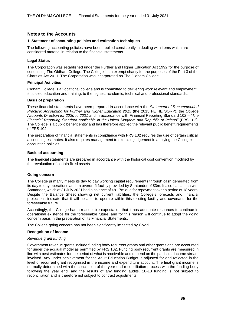### **Notes to the Accounts**

#### **1. Statement of accounting policies and estimation techniques**

The following accounting policies have been applied consistently in dealing with items which are considered material in relation to the financial statements.

#### **Legal Status**

The Corporation was established under the Further and Higher Education Act 1992 for the purpose of conducting The Oldham College. The College is an exempt charity for the purposes of the Part 3 of the Charities Act 2011. The Corporation was incorporated as The Oldham College.

#### **Principal Activities**

Oldham College is a vocational college and is committed to delivering work relevant and employment focussed education and training, to the highest academic, technical and professional standards.

#### **Basis of preparation**

These financial statements have been prepared in accordance with the *Statement of Recommended Practice: Accounting for Further and Higher Education 2015* (the 2015 FE HE SORP), the *College Accounts Direction for 2020 to 2021* and in accordance with Financial Reporting Standard 102 – *"The Financial Reporting Standard applicable in the United Kingdom and Republic of Ireland"* (FRS 102). The College is a public benefit entity and has therefore applied the relevant public benefit requirements of FRS 102.

The preparation of financial statements in compliance with FRS 102 requires the use of certain critical accounting estimates. It also requires management to exercise judgement in applying the College's accounting policies.

#### **Basis of accounting**

The financial statements are prepared in accordance with the historical cost convention modified by the revaluation of certain fixed assets.

#### **Going concern**

The College primarily meets its day to day working capital requirements through cash generated from its day to day operations and an overdraft facility provided by Santander of £3m. It also has a loan with Santander, which at 31 July 2021 had a balance of £8.17m due for repayment over a period of 18 years. Despite the Balance Sheet showing net current liabilities, the College's forecasts and financial projections indicate that it will be able to operate within this existing facility and covenants for the foreseeable future.

Accordingly, the College has a reasonable expectation that it has adequate resources to continue in operational existence for the foreseeable future, and for this reason will continue to adopt the going concern basis in the preparation of its Financial Statements.

The College going concern has not been significantly impacted by Covid.

#### **Recognition of income**

#### *Revenue grant funding*

Government revenue grants include funding body recurrent grants and other grants and are accounted for under the accrual model as permitted by FRS 102. Funding body recurrent grants are measured in line with best estimates for the period of what is receivable and depend on the particular income stream involved. Any under achievement for the Adult Education Budget is adjusted for and reflected in the level of recurrent grant recognised in the income and expenditure account. The final grant income is normally determined with the conclusion of the year end reconciliation process with the funding body following the year end, and the results of any funding audits. 16-18 funding is not subject to reconciliation and is therefore not subject to contract adjustments.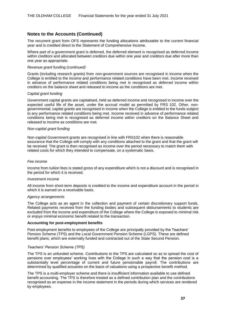The recurrent grant from OFS represents the funding allocations attributable to the current financial year and is credited direct to the Statement of Comprehensive Income.

Where part of a government grant is deferred, the deferred element is recognised as deferred income within creditors and allocated between creditors due within one year and creditors due after more than one year as appropriate.

#### *Revenue grant funding (continued)*

Grants (including research grants) from non-government sources are recognised in income when the College is entitled to the income and performance related conditions have been met. Income received in advance of performance related conditions being met is recognised as deferred income within creditors on the balance sheet and released to income as the conditions are met.

#### *Capital grant funding*

Government capital grants are capitalised, held as deferred income and recognised in income over the expected useful life of the asset, under the accrual model as permitted by FRS 102. Other, nongovernmental, capital grants are recognised in income when the College is entitled to the funds subject to any performance related conditions being met. Income received in advance of performance related conditions being met is recognised as deferred income within creditors on the Balance Sheet and released to income as conditions are met.

#### *Non-capital grant funding*

Non-capital Government grants are recognised in line with FRS102 when there is reasonable assurance that the College will comply with any conditions attached to the grant and that the grant will be received. The grant is then recognised as income over the period necessary to match them with related costs for which they intended to compensate, on a systematic basis.

#### *Fee income*

Income from tuition fees is stated gross of any expenditure which is not a discount and is recognised in the period for which it is received.

#### *Investment income*

All income from short-term deposits is credited to the income and expenditure account in the period in which it is earned on a receivable basis.

#### *Agency arrangements*

The College acts as an agent in the collection and payment of certain discretionary support funds. Related payments received from the funding bodies and subsequent disbursements to students are excluded from the income and expenditure of the College where the College is exposed to minimal risk or enjoys minimal economic benefit related to the transaction.

#### **Accounting for post-employment benefits**

Post-employment benefits to employees of the College are principally provided by the Teachers' Pension Scheme (TPS) and the Local Government Pension Scheme (LGPS). These are defined benefit plans, which are externally funded and contracted out of the State Second Pension.

#### *Teachers' Pension Scheme (TPS)*

The TPS is an unfunded scheme. Contributions to the TPS are calculated so as to spread the cost of pensions over employees' working lives with the College in such a way that the pension cost is a substantially level percentage of current and future pensionable payroll. The contributions are determined by qualified actuaries on the basis of valuations using a prospective benefit method.

The TPS is a multi-employer scheme and there is insufficient information available to use defined benefit accounting. The TPS is therefore treated as a defined contribution plan and the contributions recognised as an expense in the income statement in the periods during which services are rendered by employees.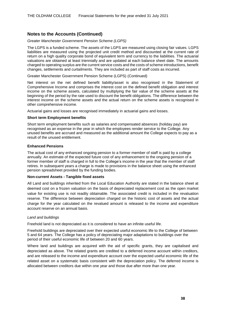#### *Greater Manchester Government Pension Scheme (LGPS)*

The LGPS is a funded scheme. The assets of the LGPS are measured using closing fair values. LGPS liabilities are measured using the projected unit credit method and discounted at the current rate of return on a high quality corporate bond of equivalent term and currency to the liabilities. The actuarial valuations are obtained at least triennially and are updated at each balance sheet date. The amounts charged to operating surplus are the current service costs and the costs of scheme introductions, benefit changes, settlements and curtailments. They are included as part of staff costs as incurred.

Greater Manchester Government Pension Scheme (LGPS) (Continued)

Net interest on the net defined benefit liability/asset is also recognised in the Statement of Comprehensive Income and comprises the interest cost on the defined benefit obligation and interest income on the scheme assets, calculated by multiplying the fair value of the scheme assets at the beginning of the period by the rate used to discount the benefit obligations. The difference between the interest income on the scheme assets and the actual return on the scheme assets is recognised in other comprehensive income.

Actuarial gains and losses are recognised immediately in actuarial gains and losses.

#### **Short term Employment benefits**

Short term employment benefits such as salaries and compensated absences (holiday pay) are recognised as an expense in the year in which the employees render service to the College. Any unused benefits are accrued and measured as the additional amount the College expects to pay as a result of the unused entitlement.

#### **Enhanced Pensions**

The actual cost of any enhanced ongoing pension to a former member of staff is paid by a college annually. An estimate of the expected future cost of any enhancement to the ongoing pension of a former member of staff is charged in full to the College's income in the year that the member of staff retires. In subsequent years a charge is made to provisions in the balance sheet using the enhanced pension spreadsheet provided by the funding bodies.

#### **Non-current Assets - Tangible fixed assets**

All Land and buildings inherited from the Local Education Authority are stated in the balance sheet at deemed cost on a frozen valuation on the basis of depreciated replacement cost as the open market value for existing use is not readily obtainable. The associated credit is included in the revaluation reserve. The difference between depreciation charged on the historic cost of assets and the actual charge for the year calculated on the revalued amount is released to the income and expenditure account reserve on an annual basis.

#### *Land and buildings*

Freehold land is not depreciated as it is considered to have an infinite useful life.

Freehold buildings are depreciated over their expected useful economic life to the College of between 5 and 64 years. The College has a policy of depreciating major adaptations to buildings over the period of their useful economic life of between 20 and 60 years.

Where land and buildings are acquired with the aid of specific grants, they are capitalised and depreciated as above. The related grants are credited to a deferred income account within creditors, and are released to the income and expenditure account over the expected useful economic life of the related asset on a systematic basis consistent with the depreciation policy. The deferred income is allocated between creditors due within one year and those due after more than one year.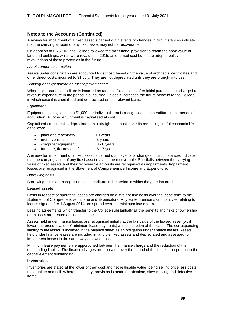A review for impairment of a fixed asset is carried out if events or changes in circumstances indicate that the carrying amount of any fixed asset may not be recoverable.

On adoption of FRS 102, the College followed the transitional provision to retain the book value of land and buildings, which were revalued in 2015, as deemed cost but not to adopt a policy of revaluations of these properties in the future.

#### *Assets under construction*

Assets under construction are accounted for at cost, based on the value of architects' certificates and other direct costs, incurred to 31 July. They are not depreciated until they are brought into use.

#### *Subsequent expenditure on existing fixed assets*

Where significant expenditure is incurred on tangible fixed assets after initial purchase it is charged to revenue expenditure in the period it is incurred, unless it increases the future benefits to the College, in which case it is capitalised and depreciated on the relevant basis.

#### *Equipment*

Equipment costing less than £1,000 per individual item is recognised as expenditure in the period of acquisition. All other equipment is capitalised at cost.

Capitalised equipment is depreciated on a straight-line basis over its remaining useful economic life as follows:

- plant and machinery 10 years
- motor vehicles 5 years
- computer equipment 3 8 years
- furniture, fixtures and fittings 5 7 years

A review for impairment of a fixed asset is carried out if events or changes in circumstances indicate that the carrying value of any fixed asset may not be recoverable. Shortfalls between the carrying value of fixed assets and their recoverable amounts are recognised as impairments. Impairment losses are recognised in the Statement of Comprehensive Income and Expenditure.

#### *Borrowing costs*

Borrowing costs are recognised as expenditure in the period in which they are incurred.

#### **Leased assets**

Costs in respect of operating leases are charged on a straight-line basis over the lease term to the Statement of Comprehensive Income and Expenditure. Any lease premiums or incentives relating to leases signed after 1 August 2014 are spread over the minimum lease term.

Leasing agreements which transfer to the College substantially all the benefits and risks of ownership of an asset are treated as finance leases.

Assets held under finance leases are recognised initially at the fair value of the leased asset (or, if lower, the present value of minimum lease payments) at the inception of the lease. The corresponding liability to the lessor is included in the balance sheet as an obligation under finance leases. Assets held under finance leases are included in tangible fixed assets and depreciated and assessed for impairment losses in the same way as owned assets.

Minimum lease payments are apportioned between the finance charge and the reduction of the outstanding liability. The finance charges are allocated over the period of the lease in proportion to the capital element outstanding.

#### **Inventories**

Inventories are stated at the lower of their cost and net realisable value, being selling price less costs to complete and sell. Where necessary, provision is made for obsolete, slow-moving and defective items.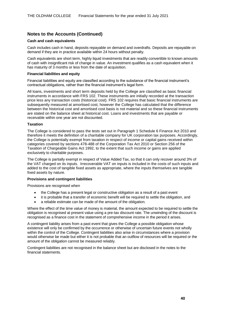#### **Cash and cash equivalents**

Cash includes cash in hand, deposits repayable on demand and overdrafts. Deposits are repayable on demand if they are in practice available within 24 hours without penalty.

Cash equivalents are short term, highly liquid investments that are readily convertible to known amounts of cash with insignificant risk of change in value. An investment qualifies as a cash equivalent when it has maturity of 3 months or less from the date of acquisition.

#### **Financial liabilities and equity**

Financial liabilities and equity are classified according to the substance of the financial instrument's contractual obligations, rather than the financial instrument's legal form.

All loans, investments and short term deposits held by the College are classified as basic financial instruments in accordance with FRS 102. These instruments are initially recorded at the transaction price less any transaction costs (historical cost). FRS 102 requires that basic financial instruments are subsequently measured at amortised cost, however the College has calculated that the difference between the historical cost and amortised cost basis is not material and so these financial instruments are stated on the balance sheet at historical cost. Loans and investments that are payable or receivable within one year are not discounted.

#### **Taxation**

The College is considered to pass the tests set out in Paragraph 1 Schedule 6 Finance Act 2010 and therefore it meets the definition of a charitable company for UK corporation tax purposes. Accordingly, the College is potentially exempt from taxation in respect of income or capital gains received within categories covered by sections 478-488 of the Corporation Tax Act 2010 or Section 256 of the Taxation of Chargeable Gains Act 1992, to the extent that such income or gains are applied exclusively to charitable purposes.

The College is partially exempt in respect of Value Added Tax, so that it can only recover around 3% of the VAT charged on its inputs. Irrecoverable VAT on inputs is included in the costs of such inputs and added to the cost of tangible fixed assets as appropriate, where the inputs themselves are tangible fixed assets by nature.

#### **Provisions and contingent liabilities**

Provisions are recognised when

- the College has a present legal or constructive obligation as a result of a past event
- it is probable that a transfer of economic benefit will be required to settle the obligation, and
- a reliable estimate can be made of the amount of the obligation.

Where the effect of the time value of money is material, the amount expected to be required to settle the obligation is recognised at present value using a pre-tax discount rate. The unwinding of the discount is recognised as a finance cost in the statement of comprehensive income in the period it arises.

A contingent liability arises from a past event that gives the College a possible obligation whose existence will only be confirmed by the occurrence or otherwise of uncertain future events not wholly within the control of the College. Contingent liabilities also arise in circumstances where a provision would otherwise be made but either it is not probable that an outflow of resources will be required or the amount of the obligation cannot be measured reliably.

Contingent liabilities are not recognised in the balance sheet but are disclosed in the notes to the financial statements.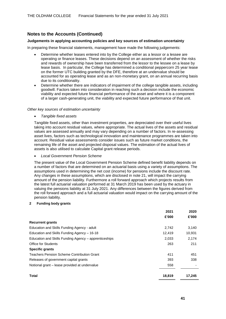#### **Judgements in applying accounting policies and key sources of estimation uncertainty**

In preparing these financial statements, management have made the following judgements:

- Determine whether leases entered into by the College either as a lessor or a lessee are operating or finance leases. These decisions depend on an assessment of whether the risks and rewards of ownership have been transferred from the lessor to the lessee on a lease by lease basis. In particular, the College has determined a conditional peppercorn 25 year lease on the former UTC building granted by the DFE, therefore at an undervalue should be accounted for as operating lease and as an non-monetary grant, on an annual recurring basis due to its conditionality.
- Determine whether there are indicators of impairment of the college tangible assets, including goodwill. Factors taken into consideration in reaching such a decision include the economic viability and expected future financial performance of the asset and where it is a component of a larger cash-generating unit, the viability and expected future performance of that unit.

#### *Other key sources of estimation uncertainty*

• *Tangible fixed assets*

Tangible fixed assets, other than investment properties, are depreciated over their useful lives taking into account residual values, where appropriate. The actual lives of the assets and residual values are assessed annually and may vary depending on a number of factors. In re-assessing asset lives, factors such as technological innovation and maintenance programmes are taken into account. Residual value assessments consider issues such as future market conditions, the remaining life of the asset and projected disposal values. The estimation of the actual lives of assets is also utilised to calculate Capital grant release periods.

• *Local Government Pension Scheme*

The present value of the Local Government Pension Scheme defined benefit liability depends on a number of factors that are determined on an actuarial basis using a variety of assumptions. The assumptions used in determining the net cost (income) for pensions include the discount rate. Any changes in these assumptions, which are disclosed in note 21, will impact the carrying amount of the pension liability. Furthermore a roll forward approach which projects results from the latest full actuarial valuation performed at 31 March 2019 has been used by the actuary in valuing the pensions liability at 31 July 2021. Any differences between the figures derived from the roll forward approach and a full actuarial valuation would impact on the carrying amount of the pension liability.

#### **2 Funding body grants**

|                                                       | 2021   | 2020   |
|-------------------------------------------------------|--------|--------|
|                                                       | £'000  | £'000  |
| <b>Recurrent grants</b>                               |        |        |
| Education and Skills Funding Agency - adult           | 2,742  | 3,140  |
| Education and Skills Funding Agency - 16-18           | 12.419 | 10.931 |
| Education and Skills Funding Agency – apprenticeships | 2,033  | 2,174  |
| <b>Office for Students</b>                            | 263    | 211    |
| <b>Specific grants</b>                                |        |        |
| Teachers Pension Scheme Contribution Grant            | 411    | 451    |
| Releases of government capital grants                 | 393    | 338    |
| Notional grant – lease provided at undervalue         | 558    |        |
| <b>Total</b>                                          | 18,819 | 17,245 |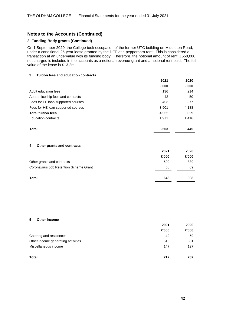#### **2. Funding Body grants (Continued)**

On 1 September 2020, the College took occupation of the former UTC building on Middleton Road, under a conditional 25-year lease granted by the DFE at a peppercorn rent. This is considered a transaction at an undervalue with its funding body. Therefore, the notional amount of rent, £558,000 not charged is included in the accounts as a notional revenue grant and a notional rent paid. The full value of the lease is £13.2m.

#### **3 Tuition fees and education contracts**

|                                    | 2021  | 2020  |
|------------------------------------|-------|-------|
|                                    | £'000 | £'000 |
| Adult education fees               | 136   | 214   |
| Apprenticeship fees and contracts  | 42    | 50    |
| Fees for FE loan supported courses | 453   | 577   |
| Fees for HE loan supported courses | 3,901 | 4,188 |
| <b>Total tuition fees</b>          | 4,532 | 5,029 |
| <b>Education contracts</b>         | 1.971 | 1,416 |
|                                    |       |       |
| Total                              | 6,503 | 6.445 |

#### **4 Other grants and contracts**

|                                        | 2021  | 2020  |
|----------------------------------------|-------|-------|
|                                        | £'000 | £'000 |
| Other grants and contracts             | 590   | 839   |
| Coronavirus Job Retention Scheme Grant | 58    | 69    |
| Total                                  | 648   | 908   |

#### **5 Other income**

|                                    | 2021  | 2020  |
|------------------------------------|-------|-------|
|                                    | £'000 | £'000 |
| Catering and residences            | 49    | 59    |
| Other income generating activities | 516   | 601   |
| Miscellaneous income               | 147   | 127   |
| <b>Total</b>                       | 712   | 787   |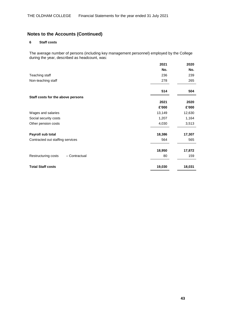#### **6 Staff costs**

The average number of persons (including key management personnel) employed by the College during the year, described as headcount, was:

|                                      | 2021   | 2020   |
|--------------------------------------|--------|--------|
|                                      | No.    | No.    |
| Teaching staff                       | 236    | 239    |
| Non-teaching staff                   | 278    | 265    |
|                                      | 514    | 504    |
| Staff costs for the above persons    |        |        |
|                                      | 2021   | 2020   |
|                                      | £'000  | £'000  |
| Wages and salaries                   | 13,149 | 12,630 |
| Social security costs                | 1,207  | 1,164  |
| Other pension costs                  | 4,030  | 3,513  |
| Payroll sub total                    | 18,386 | 17,307 |
| Contracted out staffing services     | 564    | 565    |
|                                      | 18,950 | 17,872 |
| Restructuring costs<br>- Contractual | 80     | 159    |
| <b>Total Staff costs</b>             | 19,030 | 18,031 |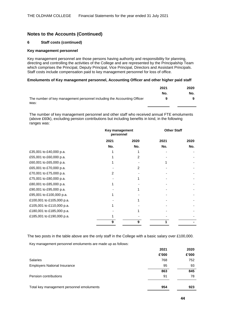#### **6 Staff costs (continued)**

#### **Key management personnel**

Key management personnel are those persons having authority and responsibility for planning, directing and controlling the activities of the College and are represented by the Principalship Team which comprises the Principal, Deputy Principal, Vice Principal, Directors and Assistant Principals. Staff costs include compensation paid to key management personnel for loss of office.

#### **Emoluments of Key management personnel, Accounting Officer and other higher paid staff**

|                                                                         | 2021 | 2020 |
|-------------------------------------------------------------------------|------|------|
|                                                                         | No.  | No.  |
| The number of key management personnel including the Accounting Officer |      |      |
| was:                                                                    |      |      |

The number of key management personnel and other staff who received annual FTE emoluments (above £60k), excluding pension contributions but including benefits in kind, in the following ranges was:

|                           | Key management<br>personnel |      | <b>Other Staff</b> |      |
|---------------------------|-----------------------------|------|--------------------|------|
|                           | 2021                        | 2020 | 2021               | 2020 |
|                           | No.                         | No.  | No.                | No.  |
| £35,001 to £40,000 p.a.   |                             |      |                    |      |
| £55,001 to £60,000 p.a.   |                             | 2    |                    |      |
| £60,001 to £65,000 p.a.   |                             |      |                    |      |
| £65,001 to £70,000 p.a.   |                             | 2    |                    |      |
| £70,001 to £75,000 p.a.   | 2                           |      |                    |      |
| £75,001 to £80,000 p.a.   |                             |      |                    |      |
| £80,001 to £85,000 p.a.   |                             |      |                    |      |
| £90,001 to £95,000 p.a.   |                             |      |                    |      |
| £95,001 to £100,000 p.a.  |                             |      |                    |      |
| £100,001 to £105,000 p.a. |                             |      |                    |      |
| £105,001 to £110,000 p.a. |                             |      |                    |      |
| £180,001 to £185,000 p.a. |                             |      |                    |      |
| £185,001 to £190,000 p.a. |                             |      |                    |      |
|                           | g                           |      |                    |      |
|                           |                             |      |                    |      |

The two posts in the table above are the only staff in the College with a basic salary over £100,000.

Key management personnel emoluments are made up as follows:

|                                           | 2021  | 2020  |
|-------------------------------------------|-------|-------|
|                                           | £'000 | £'000 |
| Salaries                                  | 768   | 752   |
| <b>Employers National Insurance</b>       | 95    | 93    |
|                                           | 863   | 845   |
| Pension contributions                     | 91    | 78    |
|                                           |       |       |
| Total key management personnel emoluments | 954   | 923   |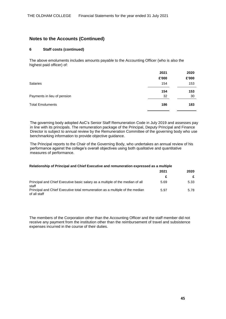#### **6 Staff costs (continued)**

The above emoluments includes amounts payable to the Accounting Officer (who is also the highest paid officer) of:

|                             | 2021  | 2020  |
|-----------------------------|-------|-------|
|                             | £'000 | £'000 |
| <b>Salaries</b>             | 154   | 153   |
|                             | 154   | 153   |
| Payments in lieu of pension | 32    | 30    |
| <b>Total Emoluments</b>     | 186   | 183   |

The governing body adopted AoC's Senior Staff Remuneration Code in July 2019 and assesses pay in line with its principals. The remuneration package of the Principal, Deputy Principal and Finance Director is subject to annual review by the Remuneration Committee of the governing body who use benchmarking information to provide objective guidance.

The Principal reports to the Chair of the Governing Body, who undertakes an annual review of his performance against the college's overall objectives using both qualitative and quantitative measures of performance.

#### **Relationship of Principal and Chief Executive and remuneration expressed as a multiple**

|                                                                                              | 2021 | 2020 |
|----------------------------------------------------------------------------------------------|------|------|
|                                                                                              |      |      |
| Principal and Chief Executive basic salary as a multiple of the median of all<br>staff       | 5.69 | 5.33 |
| Principal and Chief Executive total remuneration as a multiple of the median<br>of all staff | 5.97 | 5.78 |

The members of the Corporation other than the Accounting Officer and the staff member did not receive any payment from the institution other than the reimbursement of travel and subsistence expenses incurred in the course of their duties.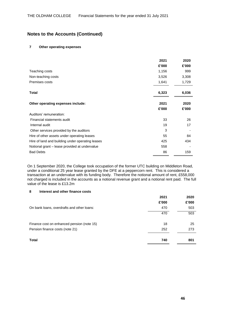#### **7 Other operating expenses**

|                                                  | 2021  | 2020  |
|--------------------------------------------------|-------|-------|
|                                                  | £'000 | £'000 |
| Teaching costs                                   | 1,156 | 999   |
| Non-teaching costs                               | 3,526 | 3,308 |
| Premises costs                                   | 1,641 | 1,729 |
| <b>Total</b>                                     | 6,323 | 6,036 |
| Other operating expenses include:                | 2021  | 2020  |
|                                                  | £'000 | £'000 |
| Auditors' remuneration:                          |       |       |
| Financial statements audit                       | 33    | 26    |
| Internal audit                                   | 19    | 17    |
| Other services provided by the auditors          | 3     |       |
| Hire of other assets under operating leases      | 55    | 84    |
| Hire of land and building under operating leases | 425   | 434   |
| Notional grant – lease provided at undervalue    | 558   |       |
| <b>Bad Debts</b>                                 | 86    | 159   |

On 1 September 2020, the College took occupation of the former UTC building on Middleton Road, under a conditional 25 year lease granted by the DFE at a peppercorn rent. This is considered a transaction at an undervalue with its funding body. Therefore the notional amount of rent, £558,000 not charged is included in the accounts as a notional revenue grant and a notional rent paid. The full value of the lease is £13.2m

#### **8 Interest and other finance costs**

| 2021  | 2020  |
|-------|-------|
| £'000 | £'000 |
| 470   | 503   |
| 470   | 503   |
|       |       |
|       | 25    |
| 252   | 273   |
| 740   | 801   |
|       | 18    |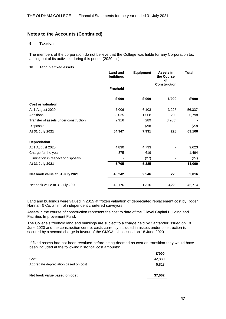#### **9 Taxation**

The members of the corporation do not believe that the College was liable for any Corporation tax arising out of its activities during this period (2020: nil).

#### **10 Tangible fixed assets**

|                                       | <b>Land and</b><br>buildings | <b>Equipment</b> | Assets in<br>the Course<br>of<br><b>Construction</b> | <b>Total</b> |
|---------------------------------------|------------------------------|------------------|------------------------------------------------------|--------------|
|                                       | <b>Freehold</b>              |                  |                                                      |              |
|                                       | £'000                        | £'000            | £'000                                                | £'000        |
| <b>Cost or valuation</b>              |                              |                  |                                                      |              |
| At 1 August 2020                      | 47,006                       | 6,103            | 3,228                                                | 56,337       |
| Additions                             | 5,025                        | 1,568            | 205                                                  | 6,798        |
| Transfer of assets under construction | 2,916                        | 289              | (3,205)                                              |              |
| Disposals                             |                              | (29)             |                                                      | (29)         |
| At 31 July 2021                       | 54,947                       | 7,931            | 228                                                  | 63,106       |
| <b>Depreciation</b>                   |                              |                  |                                                      |              |
| At 1 August 2020                      | 4,830                        | 4,793            |                                                      | 9,623        |
| Charge for the year                   | 875                          | 619              |                                                      | 1,494        |
| Elimination in respect of disposals   |                              | (27)             | ۰                                                    | (27)         |
| At 31 July 2021                       | 5,705                        | 5,385            | $\blacksquare$                                       | 11,090       |
| Net book value at 31 July 2021        | 49,242                       | 2,546            | 228                                                  | 52,016       |
| Net book value at 31 July 2020        | 42,176                       | 1,310            | 3,228                                                | 46,714       |

Land and buildings were valued in 2015 at frozen valuation of depreciated replacement cost by Roger Hannah & Co. a firm of independent chartered surveyors.

Assets in the course of construction represent the cost to date of the T level Capital Building and Facilities Improvement Fund.

The College's freehold land and buildings are subject to a charge held by Santander issued on 18 June 2020 and the construction centre, costs currently Included in assets under construction is secured by a second charge in favour of the GMCA, also issued on 18 June 2020.

If fixed assets had not been revalued before being deemed as cost on transition they would have been included at the following historical cost amounts:

|                                      | £'000  |
|--------------------------------------|--------|
| Cost                                 | 42,880 |
| Aggregate depreciation based on cost | 5.818  |
| Net book value based on cost         | 37,062 |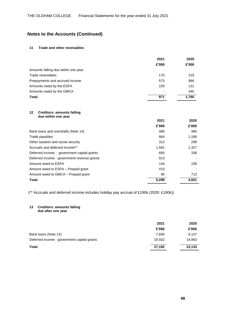#### **11 Trade and other receivables**

|                                      | 2021  | 2020  |
|--------------------------------------|-------|-------|
|                                      | £'000 | £'000 |
| Amounts falling due within one year: |       |       |
| Trade receivables                    | 170   | 218   |
| Prepayments and accrued income       | 573   | 966   |
| Amounts owed by the ESFA             | 228   | 131   |
| Amounts owed by the GMCA             | ٠     | 445   |
| Total                                | 971   | 1,760 |

#### **12 Creditors: amounts falling due within one year**

|                                             | 2021  | 2020  |
|---------------------------------------------|-------|-------|
|                                             | £'000 | £'000 |
| Bank loans and overdrafts (Note 14)         | 480   | 480   |
| Trade payables                              | 664   | 1,188 |
| Other taxation and social security          | 312   | 299   |
| Accruals and deferred income**              | 1,581 | 1,327 |
| Deferred income - government capital grants | 695   | 336   |
| Deferred income - government revenue grants | 913   |       |
| Amount owed to ESFA                         | 144   | 158   |
| Amount owed to ESFA – Prepaid grant         | 419   |       |
| Amount owed to GMCA - Prepaid grant         | 90    | 713   |
| Total                                       | 5,298 | 4.501 |

(\*\* Accruals and deferred income includes holiday pay accrual of £190k (2020: £190k))

#### **13 Creditors: amounts falling**

**due after one year**

|                                             | 2021   | 2020   |
|---------------------------------------------|--------|--------|
|                                             | £'000  | £'000  |
| Bank loans (Note 14)                        | 7.690  | 8.147  |
| Deferred income - government capital grants | 19.502 | 14,963 |
| Total                                       | 27,192 | 23,133 |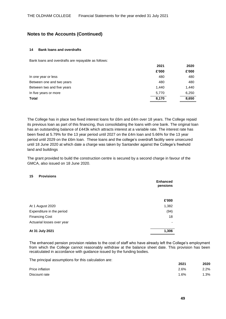#### **14 Bank loans and overdrafts**

Bank loans and overdrafts are repayable as follows:

|                            | 2021  | 2020  |
|----------------------------|-------|-------|
|                            | £'000 | £'000 |
| In one year or less        | 480   | 480   |
| Between one and two years  | 480   | 480   |
| Between two and five years | 1,440 | 1,440 |
| In five years or more      | 5,770 | 6,250 |
| <b>Total</b>               | 8,170 | 8,650 |
|                            |       |       |

The College has in place two fixed interest loans for £6m and £4m over 18 years. The College repaid its previous loan as part of this financing, thus consolidating the loans with one bank. The original loan has an outstanding balance of £443k which attracts interest at a variable rate. The interest rate has been fixed at 5.79% for the 13 year period until 2027 on the £4m loan and 5.66% for the 13 year period until 2029 on the £6m loan. These loans and the college's overdraft facility were unsecured until 18 June 2020 at which date a charge was taken by Santander against the College's freehold land and buildings

The grant provided to build the construction centre is secured by a second charge in favour of the GMCA, also issued on 18 June 2020.

#### **15 Provisions**

|                            | <b>Enhanced</b><br>pensions |
|----------------------------|-----------------------------|
|                            | £'000                       |
| At 1 August 2020           | 1,382                       |
| Expenditure in the period  | (94)                        |
| <b>Financing Cost</b>      | 18                          |
| Actuarial losses over year |                             |
| At 31 July 2021            | 1,306                       |

The enhanced pension provision relates to the cost of staff who have already left the College's employment from which the College cannot reasonably withdraw at the balance sheet date. This provision has been recalculated in accordance with guidance issued by the funding bodies.

The principal assumptions for this calculation are:

|                 | 2021 | 2020 |
|-----------------|------|------|
| Price inflation | 2.6% | 2.2% |
| Discount rate   | 1.6% | 1.3% |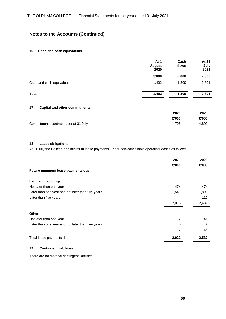#### **16 Cash and cash equivalents**

|                           | At 1<br><b>August</b><br>2020 | Cash<br>flows | At 31<br>July<br>2021 |
|---------------------------|-------------------------------|---------------|-----------------------|
|                           | £'000                         | £'000         | £'000                 |
| Cash and cash equivalents | 1,492                         | 1,309         | 2,801                 |
| <b>Total</b>              | 1,492                         | 1,309         | 2,801                 |

#### **17 Capital and other commitments**

|                                       | 2021  | 2020  |
|---------------------------------------|-------|-------|
|                                       | £'000 | £'000 |
| Commitments contracted for at 31 July | 705   | 4.802 |

#### **18 Lease obligations**

At 31 July the College had minimum lease payments under non-cancellable operating leases as follows:

|                                                   | 2021           | 2020  |
|---------------------------------------------------|----------------|-------|
|                                                   | £'000          | £'000 |
| Future minimum lease payments due                 |                |       |
| <b>Land and buildings</b>                         |                |       |
| Not later than one year                           | 474            | 474   |
| Later than one year and not later than five years | 1,541          | 1,896 |
| Later than five years                             |                | 119   |
|                                                   | 2,015          | 2,489 |
| Other                                             |                |       |
| Not later than one year                           | 7              | 41    |
| Later than one year and not later than five years |                | 7     |
|                                                   | $\overline{7}$ | 48    |
| Total lease payments due                          | 2,022          | 2,537 |

#### **19 Contingent liabilities**

There are no material contingent liabilities.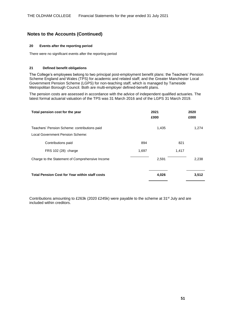#### **20 Events after the reporting period**

There were no significant events after the reporting period

#### **21 Defined benefit obligations**

The College's employees belong to two principal post-employment benefit plans: the Teachers' Pension Scheme England and Wales (TPS) for academic and related staff; and the Greater Manchester Local Government Pension Scheme (LGPS) for non-teaching staff, which is managed by Tameside Metropolitan Borough Council. Both are multi-employer defined-benefit plans.

The pension costs are assessed in accordance with the advice of independent qualified actuaries. The latest formal actuarial valuation of the TPS was 31 March 2016 and of the LGPS 31 March 2019.

| Total pension cost for the year                       | 2021<br>£000 |       | 2020<br>£000 |
|-------------------------------------------------------|--------------|-------|--------------|
| Teachers' Pension Scheme: contributions paid          |              | 1,435 | 1,274        |
| Local Government Pension Scheme:                      |              |       |              |
| Contributions paid                                    | 894          | 821   |              |
| FRS 102 (28) charge                                   | 1,697        | 1,417 |              |
| Charge to the Statement of Comprehensive Income       |              | 2,591 | 2,238        |
| <b>Total Pension Cost for Year within staff costs</b> |              | 4,026 | 3,512        |

Contributions amounting to £263k (2020 £245k) were payable to the scheme at 31<sup>st</sup> July and are included within creditors.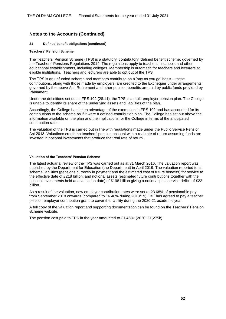#### **21 Defined benefit obligations (continued)**

#### **Teachers' Pension Scheme**

The Teachers' Pension Scheme (TPS) is a statutory, contributory, defined benefit scheme, governed by the Teachers' Pensions Regulations 2014. The regulations apply to teachers in schools and other educational establishments, including colleges. Membership is automatic for teachers and lecturers at eligible institutions. Teachers and lecturers are able to opt out of the TPS.

The TPS is an unfunded scheme and members contribute on a 'pay as you go' basis – these contributions, along with those made by employers, are credited to the Exchequer under arrangements governed by the above Act. Retirement and other pension benefits are paid by public funds provided by Parliament.

Under the definitions set out in FRS 102 (28.11), the TPS is a multi-employer pension plan. The College is unable to identify its share of the underlying assets and liabilities of the plan.

Accordingly, the College has taken advantage of the exemption in FRS 102 and has accounted for its contributions to the scheme as if it were a defined-contribution plan. The College has set out above the information available on the plan and the implications for the College in terms of the anticipated contribution rates.

The valuation of the TPS is carried out in line with regulations made under the Public Service Pension Act 2013. Valuations credit the teachers' pension account with a real rate of return assuming funds are invested in notional investments that produce that real rate of return.

#### **Valuation of the Teachers' Pension Scheme**

The latest actuarial review of the TPS was carried out as at 31 March 2016. The valuation report was published by the Department for Education (the Department) in April 2019. The valuation reported total scheme liabilities (pensions currently in payment and the estimated cost of future benefits) for service to the effective date of £218 billion, and notional assets (estimated future contributions together with the notional investments held at a valuation date) of £198 billion giving a notional past service deficit of £22 billion.

As a result of the valuation, new employer contribution rates were set at 23.68% of pensionable pay from September 2019 onwards (compared to 16.48% during 2018/19). DfE has agreed to pay a teacher pension employer contribution grant to cover the liability during the 2020-21 academic year.

A full copy of the valuation report and supporting documentation can be found on the Teachers' Pension Scheme website.

The pension cost paid to TPS in the year amounted to £1,463k (2020: £1,275k)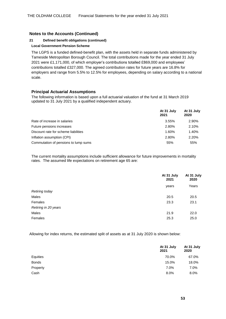#### **21 Defined benefit obligations (continued)**

#### **Local Government Pension Scheme**

The LGPS is a funded defined-benefit plan, with the assets held in separate funds administered by Tameside Metropolitan Borough Council. The total contributions made for the year ended 31 July 2021 were £1,171,000, of which employer's contributions totalled £869,000 and employees' contributions totalled £327,000. The agreed contribution rates for future years are 16.8% for employers and range from 5.5% to 12.5% for employees, depending on salary according to a national scale.

#### **Principal Actuarial Assumptions**

The following information is based upon a full actuarial valuation of the fund at 31 March 2019 updated to 31 July 2021 by a qualified independent actuary.

|                                      | At 31 July<br>2021 | At 31 July<br>2020 |
|--------------------------------------|--------------------|--------------------|
| Rate of increase in salaries         | 3.55%              | 2.90%              |
| Future pensions increases            | 2.80%              | 2.10%              |
| Discount rate for scheme liabilities | 1.60%              | 1.40%              |
| Inflation assumption (CPI)           | 2.80%              | 2.20%              |
| Commutation of pensions to lump sums | 55%                | 55%                |

The current mortality assumptions include sufficient allowance for future improvements in mortality rates. The assumed life expectations on retirement age 65 are:

|                       | At 31 July<br>2021 | At 31 July<br>2020 |
|-----------------------|--------------------|--------------------|
|                       | years              | Years              |
| <b>Retiring today</b> |                    |                    |
| Males                 | 20.5               | 20.5               |
| Females               | 23.3               | 23.1               |
| Retiring in 20 years  |                    |                    |
| Males                 | 21.9               | 22.0               |
| Females               | 25.3               | 25.0               |

Allowing for index returns, the estimated split of assets as at 31 July 2020 is shown below:

|              | At 31 July<br>2021 | At 31 July<br>2020 |
|--------------|--------------------|--------------------|
| Equities     | 70.0%              | 67.0%              |
| <b>Bonds</b> | 15.0%              | 18.0%              |
| Property     | 7.0%               | 7.0%               |
| Cash         | 8.0%               | 8.0%               |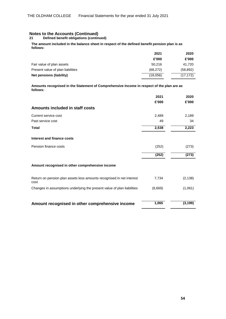**21 Defined benefit obligations (continued)**

#### **The amount included in the balance sheet in respect of the defined benefit pension plan is as follows:**

|                                   | 2021      | 2020      |
|-----------------------------------|-----------|-----------|
|                                   | £'000     | £'000     |
| Fair value of plan assets         | 50.216    | 41.720    |
| Present value of plan liabilities | (68, 272) | (58, 892) |
| Net pensions (liability)          | (18,056)  | (17, 172) |

**Amounts recognised in the Statement of Comprehensive Income in respect of the plan are as follows:**

|                                                                               | 2021    | 2020     |
|-------------------------------------------------------------------------------|---------|----------|
|                                                                               | £'000   | £'000    |
| Amounts included in staff costs                                               |         |          |
| Current service cost                                                          | 2,489   | 2,189    |
| Past service cost                                                             | 49      | 34       |
| <b>Total</b>                                                                  | 2,538   | 2,223    |
| Interest and finance costs                                                    |         |          |
| Pension finance costs                                                         | (252)   | (273)    |
|                                                                               | (252)   | (273)    |
| Amount recognised in other comprehensive income                               |         |          |
| Return on pension plan assets less amounts recognised in net interest<br>cost | 7,734   | (2, 138) |
| Changes in assumptions underlying the present value of plan liabilities       | (6,669) | (1,061)  |
|                                                                               |         |          |
| Amount recognised in other comprehensive income                               | 1,065   | (3, 199) |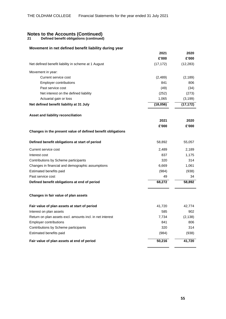**21 Defined benefit obligations (continued)**

#### **Movement in net defined benefit liability during year**

|                                                             | 2021      | 2020      |
|-------------------------------------------------------------|-----------|-----------|
|                                                             | £'000     | £'000     |
| Net defined benefit liability in scheme at 1 August         | (17, 172) | (12, 283) |
| Movement in year:                                           |           |           |
| Current service cost                                        | (2, 489)  | (2, 189)  |
| <b>Employer contributions</b>                               | 841       | 806       |
| Past service cost                                           | (49)      | (34)      |
| Net interest on the defined liability                       | (252)     | (273)     |
| Actuarial gain or loss                                      | 1,065     | (3, 199)  |
| Net defined benefit liability at 31 July                    | (18,056)  | (17, 172) |
| Asset and liability reconciliation                          |           |           |
|                                                             | 2021      | 2020      |
|                                                             | £'000     | £'000     |
| Changes in the present value of defined benefit obligations |           |           |
| Defined benefit obligations at start of period              | 58,892    | 55,057    |
| Current service cost                                        | 2,489     | 2,189     |
| Interest cost                                               | 837       | 1,175     |
| Contributions by Scheme participants                        | 320       | 314       |
| Changes in financial and demographic assumptions            | 6,669     | 1,061     |
| Estimated benefits paid                                     | (984)     | (938)     |
| Past service cost                                           | 49        | 34        |
| Defined benefit obligations at end of period                | 68,272    | 58,892    |
| Changes in fair value of plan assets                        |           |           |
| Fair value of plan assets at start of period                | 41,720    | 42,774    |
| Interest on plan assets                                     | 585       | 902       |
| Return on plan assets excl. amounts incl. in net interest   | 7,734     | (2, 138)  |
| <b>Employer contributions</b>                               | 841       | 806       |
| Contributions by Scheme participants                        | 320       | 314       |
| Estimated benefits paid                                     | (984)     | (938)     |
| Fair value of plan assets at end of period                  | 50,216    | 41,720    |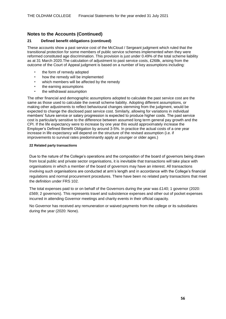#### **21 Defined benefit obligations (continued)**

These accounts show a past service cost of the McCloud / Sergeant judgment which ruled that the transitional protection for some members of public service schemes implemented when they were reformed constituted age discrimination. This provision is just under 0.49% of the total scheme liability as at 31 March 2020.The calculation of adjustment to past service costs, £268k, arising from the outcome of the Court of Appeal judgment is based on a number of key assumptions including:

- the form of remedy adopted
- how the remedy will be implemented
- which members will be affected by the remedy
- the earning assumptions
- the withdrawal assumption

The other financial and demographic assumptions adopted to calculate the past service cost are the same as those used to calculate the overall scheme liability. Adopting different assumptions, or making other adjustments to reflect behavioural changes stemming from the judgment, would be expected to change the disclosed past service cost. Similarly, allowing for variations in individual members' future service or salary progression is expected to produce higher costs. The past service cost is particularly sensitive to the difference between assumed long term general pay growth and the CPI. If the life expectancy were to increase by one year this would approximately increase the Employer's Defined Benefit Obligation by around 3-5%. In practice the actual costs of a one year increase in life expectancy will depend on the structure of the revised assumption (i.e. if improvements to survival rates predominantly apply at younger or older ages.)

#### **22 Related party transactions**

Due to the nature of the College's operations and the composition of the board of governors being drawn from local public and private sector organisations, it is inevitable that transactions will take place with organisations in which a member of the board of governors may have an interest. All transactions involving such organisations are conducted at arm's length and in accordance with the College's financial regulations and normal procurement procedures. There have been no related party transactions that meet the definition under FRS 102.

The total expenses paid to or on behalf of the Governors during the year was £140; 1 governor (2020: £569; 2 governors). This represents travel and subsistence expenses and other out of pocket expenses incurred in attending Governor meetings and charity events in their official capacity.

No Governor has received any remuneration or waived payments from the college or its subsidiaries during the year (2020: None).